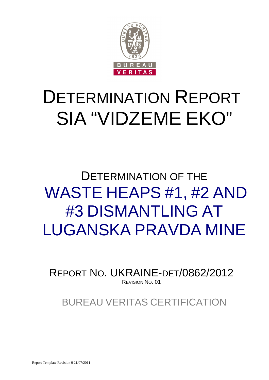

# DETERMINATION REPORT SIA "VIDZEME EKO"

# DETERMINATION OF THE WASTE HEAPS #1, #2 AND #3 DISMANTLING AT LUGANSKA PRAVDA MINE

REPORT NO. UKRAINE-DET/0862/2012 REVISION NO. 01

BUREAU VERITAS CERTIFICATION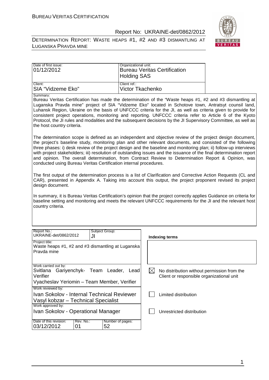DETERMINATION REPORT: WASTE HEAPS #1, #2 AND #3 DISMANTLING AT LUGANSKA PRAVDA MINE



| Date of first issue: | Organizational unit:         |
|----------------------|------------------------------|
| 01/12/2012           | Bureau Veritas Certification |
|                      | <b>Holding SAS</b>           |
| Client:              | Client ref.:                 |
| ISIA "Vidzeme Eko"   | Victor Tkachenko             |

Summary:

Bureau Veritas Certification has made the determination of the "Waste heaps #1, #2 and #3 dismantling at Luganska Pravda mine" project of SIA "Vidzeme Eko" located in Schotove town, Antratsyt counsil land, Luhansk Region, Ukraine on the basis of UNFCCC criteria for the JI, as well as criteria given to provide for consistent project operations, monitoring and reporting. UNFCCC criteria refer to Article 6 of the Kyoto Protocol, the JI rules and modalities and the subsequent decisions by the JI Supervisory Committee, as well as the host country criteria.

The determination scope is defined as an independent and objective review of the project design document, the project's baseline study, monitoring plan and other relevant documents, and consisted of the following three phases: i) desk review of the project design and the baseline and monitoring plan; ii) follow-up interviews with project stakeholders; iii) resolution of outstanding issues and the issuance of the final determination report and opinion. The overall determination, from Contract Review to Determination Report & Opinion, was conducted using Bureau Veritas Certification internal procedures.

The first output of the determination process is a list of Clarification and Corrective Action Requests (CL and CAR), presented in Appendix A. Taking into account this output, the project proponent revised its project design document.

In summary, it is Bureau Veritas Certification's opinion that the project correctly applies Guidance on criteria for baseline setting and monitoring and meets the relevant UNFCCC requirements for the JI and the relevant host country criteria.

| Report No.:<br>UKRAINE-det/0862/2012                                                                                                                                                                                               | Subject Group:<br>JI   | Indexing terms            |  |  |
|------------------------------------------------------------------------------------------------------------------------------------------------------------------------------------------------------------------------------------|------------------------|---------------------------|--|--|
| Project title:<br>Waste heaps #1, #2 and #3 dismantling at Luganska<br>Pravda mine                                                                                                                                                 |                        |                           |  |  |
| Work carried out by:<br>Gariyenchyk- Team Leader,<br>Svitlana<br>Lead<br>No distribution without permission from the<br>IХ<br>Verifier<br>Client or responsible organizational unit<br>Vyacheslav Yeriomin - Team Member, Verifier |                        |                           |  |  |
| Work reviewed by:<br>Ivan Sokolov - Internal Technical Reviewer<br>Vasyl kobzar - Technical Specialist                                                                                                                             |                        | Limited distribution      |  |  |
| Work approved by:<br>Ivan Sokolov - Operational Manager                                                                                                                                                                            |                        | Unrestricted distribution |  |  |
| Date of this revision:<br>Rev. No.:<br>03/12/2012<br>01                                                                                                                                                                            | Number of pages:<br>52 |                           |  |  |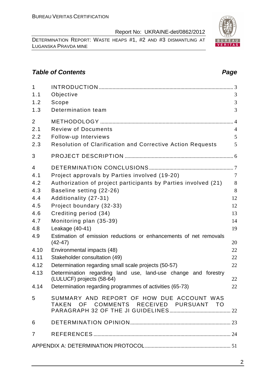DETERMINATION REPORT: WASTE HEAPS #1, #2 AND #3 DISMANTLING AT LUGANSKA PRAVDA MINE

# **Table of Contents Page 2018**

| $\mathbf{1}$   |                                                                                     |                |
|----------------|-------------------------------------------------------------------------------------|----------------|
| 1.1            | Objective                                                                           | 3              |
| 1.2            | Scope                                                                               | 3              |
| 1.3            | Determination team                                                                  | 3              |
| $\overline{2}$ |                                                                                     | $\overline{4}$ |
| 2.1            | <b>Review of Documents</b>                                                          | $\overline{4}$ |
| 2.2            | Follow-up Interviews                                                                | 5              |
| 2.3            | <b>Resolution of Clarification and Corrective Action Requests</b>                   | 5              |
| 3              |                                                                                     |                |
| $\overline{4}$ |                                                                                     |                |
| 4.1            | Project approvals by Parties involved (19-20)                                       | $\overline{7}$ |
| 4.2            | Authorization of project participants by Parties involved (21)                      | 8              |
| 4.3            | Baseline setting (22-26)                                                            | 8              |
| 4.4            | Additionality (27-31)                                                               | 12             |
| 4.5            | Project boundary (32-33)                                                            | 12             |
| 4.6            | Crediting period (34)                                                               | 13             |
| 4.7            | Monitoring plan (35-39)                                                             | 14             |
| 4.8            | Leakage (40-41)                                                                     | 19             |
| 4.9            | Estimation of emission reductions or enhancements of net removals<br>$(42-47)$      | 20             |
| 4.10           | Environmental impacts (48)                                                          | 22             |
| 4.11           | Stakeholder consultation (49)                                                       | 22             |
| 4.12           | Determination regarding small scale projects (50-57)                                | 22             |
| 4.13           | Determination regarding land use, land-use change and forestry                      |                |
|                | (LULUCF) projects (58-64)                                                           | 22             |
| 4.14           | Determination regarding programmes of activities (65-73)                            | 22             |
| 5              | SUMMARY AND REPORT OF HOW DUE ACCOUNT WAS<br>TAKEN OF COMMENTS RECEIVED PURSUANT TO |                |
| 6              |                                                                                     |                |
| $\overline{7}$ |                                                                                     |                |
|                |                                                                                     |                |

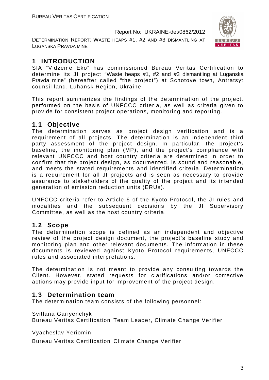DETERMINATION REPORT: WASTE HEAPS #1, #2 AND #3 DISMANTLING AT LUGANSKA PRAVDA MINE



# **1 INTRODUCTION**

SIA "Vidzeme Eko" has commissioned Bureau Veritas Certification to determine its JI project "Waste heaps #1, #2 and #3 dismantling at Luganska Pravda mine" (hereafter called "the project") at Schotove town, Antratsyt counsil land, Luhansk Region, Ukraine.

This report summarizes the findings of the determination of the project, performed on the basis of UNFCCC criteria, as well as criteria given to provide for consistent project operations, monitoring and reporting.

# **1.1 Objective**

The determination serves as project design verification and is a requirement of all projects. The determination is an independent third party assessment of the project design. In particular, the project's baseline, the monitoring plan (MP), and the project's compliance with relevant UNFCCC and host country criteria are determined in order to confirm that the project design, as documented, is sound and reasonable, and meets the stated requirements and identified criteria. Determination is a requirement for all JI projects and is seen as necessary to provide assurance to stakeholders of the quality of the project and its intended generation of emission reduction units (ERUs).

UNFCCC criteria refer to Article 6 of the Kyoto Protocol, the JI rules and modalities and the subsequent decisions by the JI Supervisory Committee, as well as the host country criteria.

# **1.2 Scope**

The determination scope is defined as an independent and objective review of the project design document, the project's baseline study and monitoring plan and other relevant documents. The information in these documents is reviewed against Kyoto Protocol requirements, UNFCCC rules and associated interpretations.

The determination is not meant to provide any consulting towards the Client. However, stated requests for clarifications and/or corrective actions may provide input for improvement of the project design.

# **1.3 Determination team**

The determination team consists of the following personnel:

Svitlana Gariyenchyk

Bureau Veritas Certification Team Leader, Climate Change Verifier

Vyacheslav Yeriomin

Bureau Veritas Certification Climate Change Verifier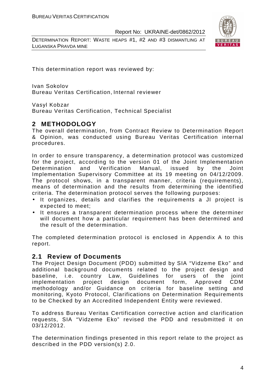DETERMINATION REPORT: WASTE HEAPS #1, #2 AND #3 DISMANTLING AT LUGANSKA PRAVDA MINE



This determination report was reviewed by:

Ivan Sokolov Bureau Veritas Certification, Internal reviewer

Vasyl Kobzar

Bureau Veritas Certification, Technical Specialist

# **2 METHODOLOGY**

The overall determination, from Contract Review to Determination Report & Opinion, was conducted using Bureau Veritas Certification internal procedures.

In order to ensure transparency, a determination protocol was customized for the project, according to the version 01 of the Joint Implementation Determination and Verification Manual, issued by the Joint Implementation Supervisory Committee at its 19 meeting on 04/12/2009. The protocol shows, in a transparent manner, criteria (requirements), means of determination and the results from determining the identified criteria. The determination protocol serves the following purposes:

- It organizes, details and clarifies the requirements a JI project is expected to meet;
- It ensures a transparent determination process where the determiner will document how a particular requirement has been determined and the result of the determination.

The completed determination protocol is enclosed in Appendix A to this report.

# **2.1 Review of Documents**

The Project Design Document (PDD) submitted by SIA "Vidzeme Eko" and additional background documents related to the project design and baseline, i.e. country Law, Guidelines for users of the joint implementation project design document form, Approved CDM methodology and/or Guidance on criteria for baseline setting and monitoring, Kyoto Protocol, Clarifications on Determination Requirements to be Checked by an Accredited Independent Entity were reviewed.

To address Bureau Veritas Certification corrective action and clarification requests, SIA "Vidzeme Eko" revised the PDD and resubmitted it on 03/12/2012.

The determination findings presented in this report relate to the project as described in the PDD version(s) 2.0.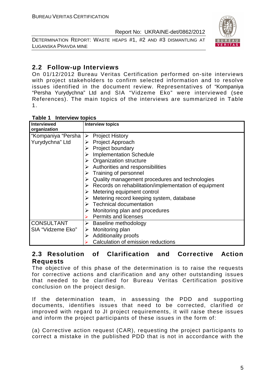DETERMINATION REPORT: WASTE HEAPS #1, #2 AND #3 DISMANTLING AT LUGANSKA PRAVDA MINE



# **2.2 Follow-up Interviews**

On 01/12/2012 Bureau Veritas Certification performed on-site interviews with project stakeholders to confirm selected information and to resolve issues identified in the document review. Representatives of "Kompaniya "Persha Yurydychna" Ltd and SIA "Vidzeme Eko" were interviewed (see References). The main topics of the interviews are summarized in Table 1.

## **Table 1 Interview topics**

| <b>Interviewed</b><br>organization | <b>Interview topics</b>                                                |
|------------------------------------|------------------------------------------------------------------------|
| "Kompaniya "Persha                 | $\triangleright$ Project History                                       |
| Yurydychna" Ltd                    | $\triangleright$ Project Approach                                      |
|                                    | <b>Project boundary</b>                                                |
|                                    | <b>Implementation Schedule</b>                                         |
|                                    | <b>Organization structure</b>                                          |
|                                    | $\triangleright$ Authorities and responsibilities                      |
|                                    | $\triangleright$ Training of personnel                                 |
|                                    | Quality management procedures and technologies                         |
|                                    | $\triangleright$ Records on rehabilitation/implementation of equipment |
|                                    | $\triangleright$ Metering equipment control                            |
|                                    | Metering record keeping system, database                               |
|                                    | $\triangleright$ Technical documentation                               |
|                                    | Monitoring plan and procedures                                         |
|                                    | Permits and licenses                                                   |
| <b>CONSULTANT</b>                  | Baseline methodology                                                   |
| SIA "Vidzeme Eko"                  | Monitoring plan<br>➤                                                   |
|                                    | <b>Additionality proofs</b><br>➤                                       |
|                                    | Calculation of emission reductions                                     |

# **2.3 Resolution of Clarification and Corrective Action Requests**

The objective of this phase of the determination is to raise the requests for corrective actions and clarification and any other outstanding issues that needed to be clarified for Bureau Veritas Certification positive conclusion on the project design.

If the determination team, in assessing the PDD and supporting documents, identifies issues that need to be corrected, clarified or improved with regard to JI project requirements, it will raise these issues and inform the project participants of these issues in the form of:

(a) Corrective action request (CAR), requesting the project participants to correct a mistake in the published PDD that is not in accordance with the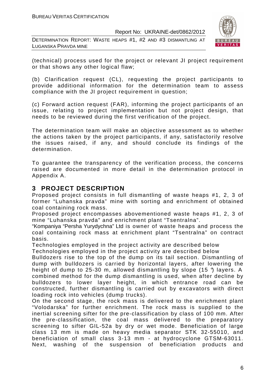DETERMINATION REPORT: WASTE HEAPS #1, #2 AND #3 DISMANTLING AT LUGANSKA PRAVDA MINE



(technical) process used for the project or relevant JI project requirement or that shows any other logical flaw;

(b) Clarification request (CL), requesting the project participants to provide additional information for the determination team to assess compliance with the JI project requirement in question;

(c) Forward action request (FAR), informing the project participants of an issue, relating to project implementation but not project design, that needs to be reviewed during the first verification of the project.

The determination team will make an objective assessment as to whether the actions taken by the project participants, if any, satisfactorily resolve the issues raised, if any, and should conclude its findings of the determination.

To guarantee the transparency of the verification process, the concerns raised are documented in more detail in the determination protocol in Appendix A.

# **3 PROJECT DESCRIPTION**

Proposed project consists in full dismantling of waste heaps #1, 2, 3 of former "Luhanska pravda" mine with sorting and enrichment of obtained coal containing rock mass.

Proposed project encompasses abovementioned waste heaps #1, 2, 3 of mine "Luhanska pravda" and enrichment plant "Tsentralna".

"Kompaniya "Persha Yurydychna" Ltd is owner of waste heaps and process the coal containing rock mass at enrichment plant "Tsentralna" on contract basis.

Technologies employed in the project activity are described below Technologies employed in the project activity are described below

Bulldozers rise to the top of the dump on its tail section. Dismantling of dump with bulldozers is carried by horizontal layers, after lowering the height of dump to 25-30 m, allowed dismantling by slope (15 °) layers. A combined method for the dump dismantling is used, when after decline by bulldozers to lower layer height, in which entrance road can be constructed, further dismantling is carried out by excavators with direct loading rock into vehicles (dump trucks).

On the second stage, the rock mass is delivered to the enrichment plant "Volodarska" for further enrichment. The rock mass is supplied to the inertial screening sifter for the pre-classification by class of 100 mm. After the pre-classification, the coal mass delivered to the preparatory screening to sifter GIL-52a by dry or wet mode. Beneficiation of large class 13 mm is made on heavy media separator STK 32-55010, and beneficiation of small class 3-13 mm - at hydrocyclone GTSM-63011. Next, washing of the suspension of beneficiation products and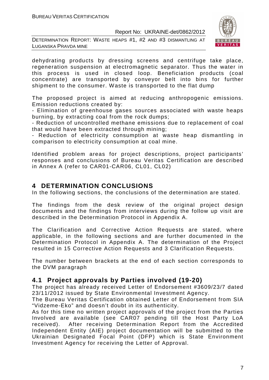DETERMINATION REPORT: WASTE HEAPS #1, #2 AND #3 DISMANTLING AT LUGANSKA PRAVDA MINE



dehydrating products by dressing screens and centrifuge take place, regeneration suspension at electromagnetic separator. Thus the water in this process is used in closed loop. Beneficiation products (coal concentrate) are transported by conveyor belt into bins for further shipment to the consumer. Waste is transported to the flat dump

The proposed project is aimed at reducing anthropogenic emissions. Emission reductions created by:

- Elimination of greenhouse gases sources associated with waste heaps burning, by extracting coal from the rock dumps;

- Reduction of uncontrolled methane emissions due to replacement of coal that would have been extracted through mining;

- Reduction of electricity consumption at waste heap dismantling in comparison to electricity consumption at coal mine.

Identified problem areas for project descriptions, project participants' responses and conclusions of Bureau Veritas Certification are described in Annex A (refer to CAR01-CAR06, CL01, CL02)

# **4 DETERMINATION CONCLUSIONS**

In the following sections, the conclusions of the determination are stated.

The findings from the desk review of the original project design documents and the findings from interviews during the follow up visit are described in the Determination Protocol in Appendix A.

The Clarification and Corrective Action Requests are stated, where applicable, in the following sections and are further documented in the Determination Protocol in Appendix A. The determination of the Project resulted in 15 Corrective Action Requests and 3 Clarification Requests.

The number between brackets at the end of each section corresponds to the DVM paragraph

# **4.1 Project approvals by Parties involved (19-20)**

The project has already received Letter of Endorsement #3609/23/7 dated 23/11/2012 issued by State Environmental Investment Agency.

The Bureau Veritas Certification obtained Letter of Endorsement from SIA "Vidzeme-Eko" and doesn't doubt in its authenticity.

As for this time no written project approvals of the project from the Parties Involved are available (see CAR07 pending till the Host Party LoA received). After receiving Determination Report from the Accredited Independent Entity (AIE) project documentation will be submitted to the Ukrainian Designated Focal Point (DFP) which is State Environment Investment Agency for receiving the Letter of Approval.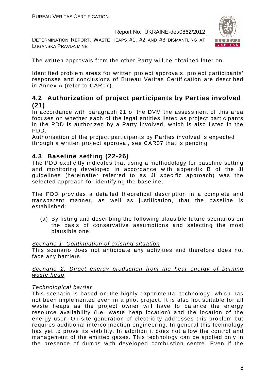DETERMINATION REPORT: WASTE HEAPS #1, #2 AND #3 DISMANTLING AT LUGANSKA PRAVDA MINE



The written approvals from the other Party will be obtained later on.

Identified problem areas for written project approvals, project participants' responses and conclusions of Bureau Veritas Certification are described in Annex A (refer to CAR07).

# **4.2 Authorization of project participants by Parties involved (21)**

In accordance with paragraph 21 of the DVM the assessment of this area focuses on whether each of the legal entities listed as project participants in the PDD is authorized by a Party involved, which is also listed in the PDD.

Authorisation of the project participants by Parties involved is expected through a written project approval, see CAR07 that is pending

# **4.3 Baseline setting (22-26)**

The PDD explicitly indicates that using a methodology for baseline setting and monitoring developed in accordance with appendix B of the JI guidelines (hereinafter referred to as JI specific approach) was the selected approach for identifying the baseline.

The PDD provides a detailed theoretical description in a complete and transparent manner, as well as justification, that the baseline is established:

(a) By listing and describing the following plausible future scenarios on the basis of conservative assumptions and selecting the most plausible one:

#### Scenario 1. Continuation of existing situation

This scenario does not anticipate any activities and therefore does not face any barriers.

#### Scenario 2. Direct energy production from the heat energy of burning waste heap

#### Technological barrier:

This scenario is based on the highly experimental technology, which has not been implemented even in a pilot project. It is also not suitable for all waste heaps as the project owner will have to balance the energy resource availability (i.e. waste heap location) and the location of the energy user. On-site generation of electricity addresses this problem but requires additional interconnection engineering. In general this technology has yet to prove its viability. In addition it does not allow the control and management of the emitted gases. This technology can be applied only in the presence of dumps with developed combustion centre. Even if the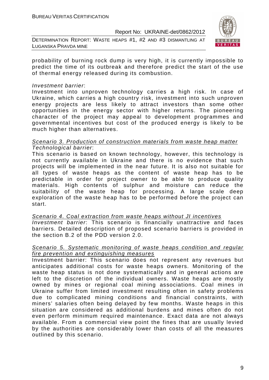DETERMINATION REPORT: WASTE HEAPS #1, #2 AND #3 DISMANTLING AT LUGANSKA PRAVDA MINE



probability of burning rock dump is very high, it is currently impossible to predict the time of its outbreak and therefore predict the start of the use of thermal energy released during its combustion.

#### Investment barrier:

Investment into unproven technology carries a high risk. In case of Ukraine, which carries a high country risk, investment into such unproven energy projects are less likely to attract investors than some other opportunities in the energy sector with higher returns. The pioneering character of the project may appeal to development programmes and governmental incentives but cost of the produced energy is likely to be much higher than alternatives.

#### Scenario 3. Production of construction materials from waste heap matter Technological barrier:

This scenario is based on known technology, however, this technology is not currently available in Ukraine and there is no evidence that such projects will be implemented in the near future. It is also not suitable for all types of waste heaps as the content of waste heap has to be predictable in order for project owner to be able to produce quality materials. High contents of sulphur and moisture can reduce the suitability of the waste heap for processing. A large scale deep exploration of the waste heap has to be performed before the project can start.

Scenario 4. Coal extraction from waste heaps without JI incentives Investment barrier: This scenario is financially unattractive and faces barriers. Detailed description of proposed scenario barriers is provided in the section B.2 of the PDD version 2.0.

#### Scenario 5. Systematic monitoring of waste heaps condition and regular fire prevention and extinguishing measures

Investment barrier: This scenario does not represent any revenues but anticipates additional costs for waste heaps owners. Monitoring of the waste heap status is not done systematically and in general actions are left to the discretion of the individual owners. Waste heaps are mostly owned by mines or regional coal mining associations. Coal mines in Ukraine suffer from limited investment resulting often in safety problems due to complicated mining conditions and financial constraints, with miners' salaries often being delayed by few months. Waste heaps in this situation are considered as additional burdens and mines often do not even perform minimum required maintenance. Exact data are not always available. From a commercial view point the fines that are usually levied by the authorities are considerably lower than costs of all the measures outlined by this scenario.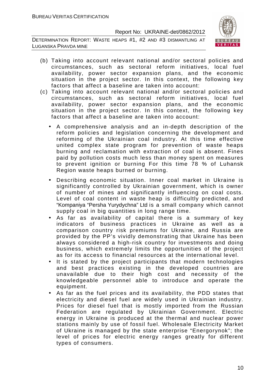DETERMINATION REPORT: WASTE HEAPS #1, #2 AND #3 DISMANTLING AT LUGANSKA PRAVDA MINE



- (b) Taking into account relevant national and/or sectoral policies and circumstances, such as sectoral reform initiatives, local fuel availability, power sector expansion plans, and the economic situation in the project sector. In this context, the following key factors that affect a baseline are taken into account:
- (c) Taking into account relevant national and/or sectoral policies and circumstances, such as sectoral reform initiatives, local fuel availability, power sector expansion plans, and the economic situation in the project sector. In this context, the following key factors that affect a baseline are taken into account:
	- A comprehensive analysis and an in-depth description of the reform policies and legislation concerning the development and reforming of the Ukrainian coal industry. At this time effective united complex state program for prevention of waste heaps burning and reclamation with extraction of coal is absent. Fines paid by pollution costs much less than money spent on measures to prevent ignition or burning For this time 78 % of Luhansk Region waste heaps burned or burning.
	- Describing economic situation. Inner coal market in Ukraine is significantly controlled by Ukrainian government, which is owner of number of mines and significantly influencing on coal costs. Level of coal content in waste heap is difficultly predicted, and "Kompaniya "Persha Yurydychna" Ltd is a small company which cannot supply coal in big quantities in long range time.
	- As far as availability of capital there is a summary of key indicators of business practices in Ukraine as well as a comparison country risk premiums for Ukraine, and Russia are provided by the PP's vividly demonstrating that Ukraine has been always considered a high-risk country for investments and doing business, which extremely limits the opportunities of the project as for its access to financial resources at the international level.
	- It is stated by the project participants that modern technologies and best practices existing in the developed countries are unavailable due to their high cost and necessity of the knowledgeable personnel able to introduce and operate the equipment.
	- As far as the fuel prices and its availability, the PDD states that electricity and diesel fuel are widely used in Ukrainian industry. Prices for diesel fuel that is mostly imported from the Russian Federation are regulated by Ukrainian Government. Electric energy in Ukraine is produced at the thermal and nuclear power stations mainly by use of fossil fuel. Wholesale Electricity Market of Ukraine is managed by the state enterprise "Energorynok"; the level of prices for electric energy ranges greatly for different types of consumers.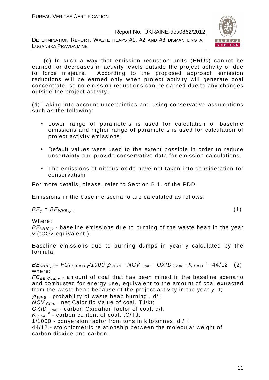DETERMINATION REPORT: WASTE HEAPS #1, #2 AND #3 DISMANTLING AT LUGANSKA PRAVDA MINE



 (c) In such a way that emission reduction units (ERUs) cannot be earned for decreases in activity levels outside the project activity or due to force majeure. According to the proposed approach emission reductions will be earned only when project activity will generate coal concentrate, so no emission reductions can be earned due to any changes outside the project activity.

(d) Taking into account uncertainties and using conservative assumptions such as the following:

- Lower range of parameters is used for calculation of baseline emissions and higher range of parameters is used for calculation of project activity emissions;
- Default values were used to the extent possible in order to reduce uncertainty and provide conservative data for emission calculations.
- The emissions of nitrous oxide have not taken into consideration for conservatism

For more details, please, refer to Section B.1. of the PDD.

Emissions in the baseline scenario are calculated as follows:

 $BE_v = BE_{WHB,v}$ , (1)

Where:

 $BE<sub>WHB,V</sub>$  - baseline emissions due to burning of the waste heap in the year y (tCO2 equivalent ),

Baseline emissions due to burning dumps in year y calculated by the formula:

 $BE_{WHB,y} = FC_{BE,Coal,y}/1000 \cdot \rho_{WHB} \cdot NCV_{Coal} \cdot OXID_{Coal} \cdot K_{Coal}^c \cdot 44/12$  (2) where:

 $FC_{BE, coal,v}$  - amount of coal that has been mined in the baseline scenario and combusted for energy use, equivalent to the amount of coal extracted from the waste heap because of the project activity in the year y, t;

 $\rho$  <sub>WHB</sub> - probability of waste heap burning, d/l;

 $NCV_{Coal}$  - net Calorific Value of coal, TJ/kt;

OXID  $_{Coal}$  - carbon Oxidation factor of coal, d/l;

 $K_{\text{Coal}}^c$  - carbon content of coal, tC/TJ;

1/1000 - conversion factor from tons in kilotonnes, d / l

44/12 - stoichiometric relationship between the molecular weight of carbon dioxide and carbon.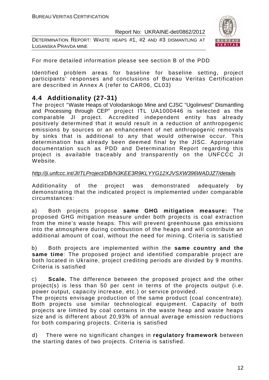DETERMINATION REPORT: WASTE HEAPS #1, #2 AND #3 DISMANTLING AT LUGANSKA PRAVDA MINE



For more detailed information please see section B of the PDD

Identified problem areas for baseline for baseline setting, project participants' responses and conclusions of Bureau Veritas Certification are described in Annex A (refer to CAR06, СL03)

# **4.4 Additionality (27-31)**

The project "Waste Heaps of Volodarskogo Mine and CJSC "Ugolinvest" Dismantling and Processing through CEP" project ITL UA1000446 is selected as the comparable JI project. Accredited independent entity has already positively determined that it would result in a reduction of anthropogenic emissions by sources or an enhancement of net anthropogenic removals by sinks that is additional to any that would otherwise occur. This determination has already been deemed final by the JISC. Appropriate documentation such as PDD and Determination Report regarding this project is available traceably and transparently on the UNFCCC JI Website.

#### http://ji.unfccc.int/JIITLProject/DB/N3KEE3R9KLYYG12XJVSXW396WADJZ7/details

Additionality of the project was demonstrated adequately by demonstrating that the indicated project is implemented under comparable circumstances:

a) Both projects propose **same GHG mitigation measure:** The proposed GHG mitigation measure under both projects is coal extraction from the mine's waste heaps. This will prevent greenhouse gas emissions into the atmosphere during combustion of the heaps and will contribute an additional amount of coal, without the need for mining. Criteria is satisfied

b) Both projects are implemented within the **same country and the same time**: The proposed project and identified comparable project are both located in Ukraine, project crediting periods are divided by 9 months. Criteria is satisfied

c) **Scale.** The difference between the proposed project and the other project(s) is less than 50 per cent in terms of the projects output (i.e. power output, capacity increase, etc.) or service provided.

The projects envisage production of the same product (coal concentrate). Both projects use similar technological equipment. Capacity of both projects are limited by coal contains in the waste heap and waste heaps size and is different about 20,93% of annual average emission reductions for both comparing projects. Criteria is satisfied

d) There were no significant changes in **regulatory framework** between the starting dates of two projects. Criteria is satisfied.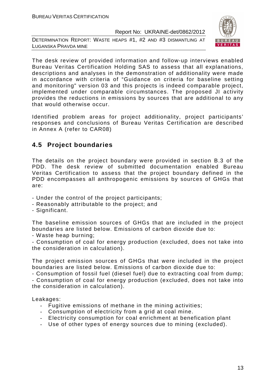DETERMINATION REPORT: WASTE HEAPS #1, #2 AND #3 DISMANTLING AT LUGANSKA PRAVDA MINE



The desk review of provided information and follow-up interviews enabled Bureau Veritas Certification Holding SAS to assess that all explanations, descriptions and analyses in the demonstration of additionality were made in accordance with criteria of "Guidance on criteria for baseline setting and monitoring" version 03 and this projects is indeed comparable project, implemented under comparable circumstances. The proposed JI activity provides the reductions in emissions by sources that are additional to any that would otherwise occur.

Identified problem areas for project additionality, project participants' responses and conclusions of Bureau Veritas Certification are described in Annex A (refer to CAR08)

# **4.5 Project boundaries**

The details on the project boundary were provided in section B.3 of the PDD. The desk review of submitted documentation enabled Bureau Veritas Certification to assess that the project boundary defined in the PDD encompasses all anthropogenic emissions by sources of GHGs that are:

- Under the control of the project participants;
- Reasonably attributable to the project; and
- Significant.

The baseline emission sources of GHGs that are included in the project boundaries are listed below. Emissions of carbon dioxide due to:

- Waste heap burning;

- Consumption of coal for energy production (excluded, does not take into the consideration in calculation).

The project emission sources of GHGs that were included in the project boundaries are listed below. Emissions of carbon dioxide due to:

- Consumption of fossil fuel (diesel fuel) due to extracting coal from dump; - Consumption of coal for energy production (excluded, does not take into the consideration in calculation).

Leakages:

- Fugitive emissions of methane in the mining activities;
- Consumption of electricity from a grid at coal mine.
- Electricity consumption for coal enrichment at benefication plant
- Use of other types of energy sources due to mining (excluded).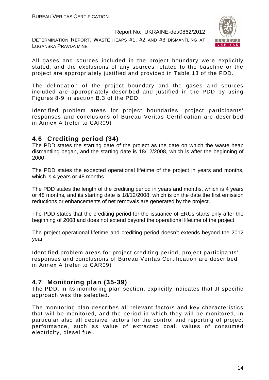DETERMINATION REPORT: WASTE HEAPS #1, #2 AND #3 DISMANTLING AT LUGANSKA PRAVDA MINE



All gases and sources included in the project boundary were explicitly stated, and the exclusions of any sources related to the baseline or the project are appropriately justified and provided in Table 13 of the PDD.

The delineation of the project boundary and the gases and sources included are appropriately described and justified in the PDD by using Figures 8-9 in section B.3 of the PDD.

Identified problem areas for project boundaries, project participants' responses and conclusions of Bureau Veritas Certification are described in Annex A (refer to CAR09)

# **4.6 Crediting period (34)**

The PDD states the starting date of the project as the date on which the waste heap dismantling began, and the starting date is 18/12/2008, which is after the beginning of 2000.

The PDD states the expected operational lifetime of the project in years and months, which is 4 years or 48 months.

The PDD states the length of the crediting period in years and months, which is 4 years or 48 months, and its starting date is 18/12/2008, which is on the date the first emission reductions or enhancements of net removals are generated by the project.

The PDD states that the crediting period for the issuance of ERUs starts only after the beginning of 2008 and does not extend beyond the operational lifetime of the project.

The project operational lifetime and crediting period doesn't extends beyond the 2012 year

Identified problem areas for project crediting period, project participants' responses and conclusions of Bureau Veritas Certification are described in Annex A (refer to CAR09)

# **4.7 Monitoring plan (35-39)**

The PDD, in its monitoring plan section, explicitly indicates that JI specific approach was the selected.

The monitoring plan describes all relevant factors and key characteristics that will be monitored, and the period in which they will be monitored, in particular also all decisive factors for the control and reporting of project performance, such as value of extracted coal, values of consumed electricity, diesel fuel.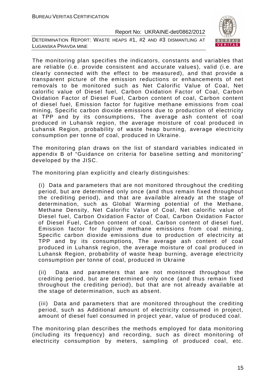DETERMINATION REPORT: WASTE HEAPS #1, #2 AND #3 DISMANTLING AT LUGANSKA PRAVDA MINE



The monitoring plan specifies the indicators, constants and variables that are reliable (i.e. provide consistent and accurate values), valid (i.e. are clearly connected with the effect to be measured), and that provide a transparent picture of the emission reductions or enhancements of net removals to be monitored such as Net Calorific Value of Coal, Net calorific value of Diesel fuel, Carbon Oxidation Factor of Coal, Carbon Oxidation Factor of Diesel Fuel, Carbon content of coal, Carbon content of diesel fuel, Emission factor for fugitive methane emissions from coal mining, Specific carbon dioxide emissions due to production of electricity at TPP and by its consumptions, The average ash content of coal produced in Luhansk region, the average moisture of coal produced in Luhansk Region, probability of waste heap burning, average electricity consumption per tonne of coal, produced in Ukraine.

The monitoring plan draws on the list of standard variables indicated in appendix B of "Guidance on criteria for baseline setting and monitoring" developed by the JISC.

The monitoring plan explicitly and clearly distinguishes:

(i) Data and parameters that are not monitored throughout the crediting period, but are determined only once (and thus remain fixed throughout the crediting period), and that are available already at the stage of determination, such as Global Warming potential of the Methane, Methane Density, Net Calorific Value of Coal, Net calorific value of Diesel fuel, Carbon Oxidation Factor of Coal, Carbon Oxidation Factor of Diesel Fuel, Carbon content of coal, Carbon content of diesel fuel, Emission factor for fugitive methane emissions from coal mining, Specific carbon dioxide emissions due to production of electricity at TPP and by its consumptions, The average ash content of coal produced in Luhansk region, the average moisture of coal produced in Luhansk Region, probability of waste heap burning, average electricity consumption per tonne of coal, produced in Ukraine

(ii) Data and parameters that are not monitored throughout the crediting period, but are determined only once (and thus remain fixed throughout the crediting period), but that are not already available at the stage of determination, such as absent.

(iii) Data and parameters that are monitored throughout the crediting period, such as Additional amount of electricity consumed in project, amount of diesel fuel consumed in project year, value of produced coal.

The monitoring plan describes the methods employed for data monitoring (including its frequency) and recording, such as direct monitoring of electricity consumption by meters, sampling of produced coal, etc.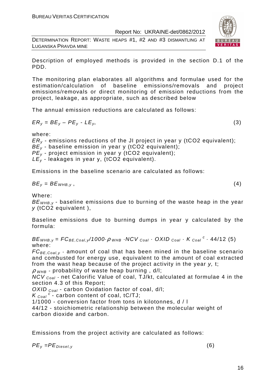DETERMINATION REPORT: WASTE HEAPS #1, #2 AND #3 DISMANTLING AT LUGANSKA PRAVDA MINE



Description of employed methods is provided in the section D.1 of the PDD.

The monitoring plan elaborates all algorithms and formulae used for the estimation/calculation of baseline emissions/removals and project emissions/removals or direct monitoring of emission reductions from the project, leakage, as appropriate, such as described below

The annual emission reductions are calculated as follows:

$$
ER_y = BE_y - PE_y - LE_y,\tag{3}
$$

where:

 $ER<sub>v</sub>$  - emissions reductions of the JI project in year y (tCO2 equivalent);  $BE<sub>y</sub>$  - baseline emission in year y (tCO2 equivalent);  $PE_v$  - project emission in year y (tCO2 equivalent);  $LE_v$  - leakages in year y, (tCO2 equivalent).

Emissions in the baseline scenario are calculated as follows:

$$
BE_y = BE_{WHB,y}, \t\t(4)
$$

Where:

 $BE<sub>WHB-V</sub>$  - baseline emissions due to burning of the waste heap in the year y (tCO2 equivalent ),

Baseline emissions due to burning dumps in year y calculated by the formula:

 $BE_{WHB,y} = FC_{BE,Coal,y}$ /1000 $\cdot \rho$   $_{WHB}$   $\cdot$  NCV  $_{Coal}$   $\cdot$  OXID  $_{Coal}$   $\cdot$  K  $_{Coal}$   $\cdot$  44/12 (5) where:

 $FC_{BE, coal,v}$  - amount of coal that has been mined in the baseline scenario and combusted for energy use, equivalent to the amount of coal extracted from the wast heap because of the project activity in the year y, t;

 $\rho$  w<sub>HB</sub> - probability of waste heap burning,  $d/l$ :

NCV <sub>Coal</sub> - net Calorific Value of coal, TJ/kt, calculated at formulae 4 in the section 4.3 of this Report;

OXID  $_{Coal}$  - carbon Oxidation factor of coal, d/l;

 $K_{\text{Coal}}^c$  - carbon content of coal, tC/TJ;

1/1000 - conversion factor from tons in kilotonnes, d / l

44/12 - stoichiometric relationship between the molecular weight of carbon dioxide and carbon.

Emissions from the project activity are calculated as follows:

 $PE_v = PE_{Diesel.v}$  (6)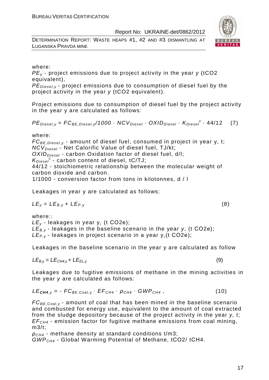DETERMINATION REPORT: WASTE HEAPS #1, #2 AND #3 DISMANTLING AT LUGANSKA PRAVDA MINE



#### where:

 $PE<sub>v</sub>$  - project emissions due to project activity in the year y (tCO2 equivalent),

 $PE_{\text{Diesel},v}$  - project emissions due to consumption of diesel fuel by the project activity in the year y (tCO2 equivalent).

Project emissions due to consumption of diesel fuel by the project activity in the year y are calculated as follows:

 $PE_{\text{Diesel}, y} = FC_{\text{BE},\text{Diesel}, y} / 1000 \cdot NCV_{\text{Diesel}} \cdot OXID_{\text{Diesel}} \cdot K_{\text{Diesel}}^c \cdot 44/12$  (7)

where:

 $FC_{BE, Diesel, y}$  - amount of diesel fuel, consumed in project in year y, t;  $NCV<sub>Diesel</sub>$  - Net Calorific Value of diesel fuel, TJ/kt;  $OXID<sub>Diesel</sub>$  - carbon Oxidation factor of diesel fuel, d/l;  $K_{Diesel}^c$  - carbon content of diesel, tC/TJ; 44/12 - stoichiometric relationship between the molecular weight of carbon dioxide and carbon.

1/1000 - conversion factor from tons in kilotonnes, d / l

Leakages in year y are calculated as follows:

$$
LE_y = LE_{B,y} + LE_{P,y}
$$
 (8)

where::  $LE<sub>v</sub>$  - leakages in year y, (t CO2e);  $LE_{B,y}$  - leakages in the baseline scenario in the year y, (t CO2e);  $LE_{P,V}$  - leakages in project scenario in a year y, (t CO2e);

Leakages in the baseline scenario in the year y are calculated as follow

$$
LE_{B,y} = LE_{CH4,y} + LE_{EL,y}
$$
 (9)

Leakages due to fugitive emissions of methane in the mining activities in the year y are calculated as follows:

$$
LE_{\text{CH4},y} = -FC_{BE, \text{Coal},y} \cdot EF_{\text{CH4}} \cdot \rho_{\text{CH4}} \cdot GWP_{\text{CH4}}, \qquad (10)
$$

 $FC_{BE, coal,v}$  - amount of coal that has been mined in the baseline scenario and combusted for energy use, equivalent to the amount of coal extracted from the sludge depository because of the project activity in the year y, t;  $EF<sub>CH4</sub>$  - emission factor for fugitive methane emissions from coal mining, m3/t;

 $ρ<sub>CH4</sub>$  - methane density at standard conditions t/m3; GWPCH4 - Global Warming Potential of Methane, tСО2/ tСН4.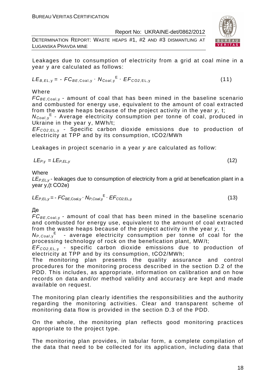DETERMINATION REPORT: WASTE HEAPS #1, #2 AND #3 DISMANTLING AT LUGANSKA PRAVDA MINE



Leakages due to consumption of electricity from a grid at coal mine in a year y are calculated as follows:

$$
LE_{B,EL,y} = -FC_{BE,Coal,y} \cdot N_{Coal,y}^{E} \cdot EF_{CO2,EL,y}
$$
 (11)

Where

 $FC_{BE, coal,v}$  - amount of coal that has been mined in the baseline scenario and combusted for energy use, equivalent to the amount of coal extracted from the waste heaps because of the project activity in the year y, t;

N<sub>Coal,y</sub><sup>E</sup> - Average electricity consumption per tonne of coal, produced in Ukraine in the year y, MWh/t;

EF<sup>C</sup>*О*2,EL, <sup>у</sup> - Specific carbon dioxide emissions due to production of electricity at TPP and by its consumption, tСО2/MWh

Leakages in project scenario in a year y are calculated as follow:

$$
LE_{P,y} = LE_{P,EL,y} \tag{12}
$$

Where

 $LE_{P,FL,V}$ - leakages due to consumption of electricity from a grid at benefication plant in a year y,(t СО2е)

$$
LE_{P,EL,y} = -FC_{BE,Coal,y} \cdot N_{P,Coal,y}^{E} \cdot EF_{CO2,EL,y}
$$
 (13)

Де

 $FC_{BE, coal,v}$  - amount of coal that has been mined in the baseline scenario and combusted for energy use, equivalent to the amount of coal extracted from the waste heaps because of the project activity in the year y, t;

 $N_{P,Coal,y}$ <sup>E</sup> - average electricity consumption per tonne of coal for the processing technology of rock on the benefication plant, MW/t;

EF<sup>C</sup>*О*2,EL, <sup>у</sup> - specific carbon dioxide emissions due to production of electricity at TPP and by its consumption, tСО2/MWh;

The monitoring plan presents the quality assurance and control procedures for the monitoring process described in the section D.2 of the PDD. This includes, as appropriate, information on calibration and on how records on data and/or method validity and accuracy are kept and made available on request.

The monitoring plan clearly identifies the responsibilities and the authority regarding the monitoring activities. Clear and transparent scheme of monitoring data flow is provided in the section D.3 of the PDD.

On the whole, the monitoring plan reflects good monitoring practices appropriate to the project type.

The monitoring plan provides, in tabular form, a complete compilation of the data that need to be collected for its application, including data that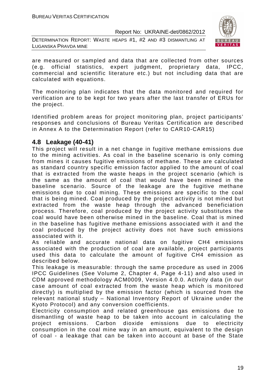DETERMINATION REPORT: WASTE HEAPS #1, #2 AND #3 DISMANTLING AT LUGANSKA PRAVDA MINE



are measured or sampled and data that are collected from other sources (e.g. official statistics, expert judgment, proprietary data, IPCC, commercial and scientific literature etc.) but not including data that are calculated with equations.

The monitoring plan indicates that the data monitored and required for verification are to be kept for two years after the last transfer of ERUs for the project.

Identified problem areas for project monitoring plan, project participants' responses and conclusions of Bureau Veritas Certification are described in Annex A to the Determination Report (refer to CAR10-CAR15)

# **4.8 Leakage (40-41)**

This project will result in a net change in fugitive methane emissions due to the mining activities. As coal in the baseline scenario is only coming from mines it causes fugitive emissions of methane. These are calculated as standard country specific emission factor applied to the amount of coal that is extracted from the waste heaps in the project scenario (which is the same as the amount of coal that would have been mined in the baseline scenario. Source of the leakage are the fugitive methane emissions due to coal mining. These emissions are specific to the coal that is being mined. Coal produced by the project activity is not mined but extracted from the waste heap through the advanced beneficiation process. Therefore, coal produced by the project activity substitutes the coal would have been otherwise mined in the baseline. Coal that is mined in the baseline has fugitive methane emissions associated with it and the coal produced by the project activity does not have such emissions associated with it.

As reliable and accurate national data on fugitive CH4 emissions associated with the production of coal are available, project participants used this data to calculate the amount of fugitive CH4 emission as described below.

This leakage is measurable: through the same procedure as used in 2006 IPCC Guidelines (See Volume 2, Chapter 4, Page 4-11) and also used in CDM approved methodology ACM0009, Version 4.0.0. Activity data (in our case amount of coal extracted from the waste heap which is monitored directly) is multiplied by the emission factor (which is sourced from the relevant national study – National Inventory Report of Ukraine under the Kyoto Protocol) and any conversion coefficients.

Electricity consumption and related greenhouse gas emissions due to dismantling of waste heap to be taken into account in calculating the project emissions. Carbon dioxide emissions due to electricity consumption in the coal mine way in an amount, equivalent to the design of coal - a leakage that can be taken into account at base of the State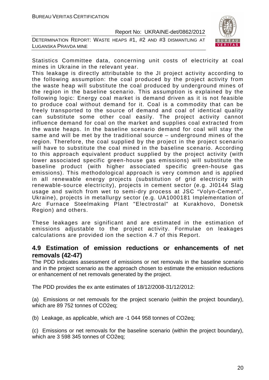DETERMINATION REPORT: WASTE HEAPS #1, #2 AND #3 DISMANTLING AT LUGANSKA PRAVDA MINE



Statistics Committee data, concerning unit costs of electricity at coal mines in Ukraine in the relevant year.

This leakage is directly attributable to the JI project activity according to the following assumption: the coal produced by the project activity from the waste heap will substitute the coal produced by underground mines of the region in the baseline scenario. This assumption is explained by the following logic: Energy coal market is demand driven as it is not feasible to produce coal without demand for it. Coal is a commodity that can be freely transported to the source of demand and coal of identical quality can substitute some other coal easily. The project activity cannot influence demand for coal on the market and supplies coal extracted from the waste heaps. In the baseline scenario demand for coal will stay the same and will be met by the traditional source – underground mines of the region. Therefore, the coal supplied by the project in the project scenario will have to substitute the coal mined in the baseline scenario. According to this approach equivalent product supplied by the project activity (with lower associated specific green-house gas emissions) will substitute the baseline product (with higher associated specific green-house gas emissions). This methodological approach is very common and is applied in all renewable energy projects (substitution of grid electricity with renewable-source electricity), projects in cement sector (e.g. JI0144 Slag usage and switch from wet to semi-dry process at JSC "Volyn-Cement", Ukraine), projects in metallurgy sector (e.g. UA1000181 Implementation of Arc Furnace Steelmaking Plant "Electrostal" at Kurakhovo, Donetsk Region) and others.

These leakages are significant and are estimated in the estimation of emissions adjustable to the project activity. Formulae on leakages calculations are provided ion the section 4.7 of this Report.

# **4.9 Estimation of emission reductions or enhancements of net removals (42-47)**

The PDD indicates assessment of emissions or net removals in the baseline scenario and in the project scenario as the approach chosen to estimate the emission reductions or enhancement of net removals generated by the project.

The PDD provides the ex ante estimates of 18/12/2008-31/12/2012:

(a) Emissions or net removals for the project scenario (within the project boundary), which are 89 752 tonnes of CO2eq;

(b) Leakage, as applicable, which are -1 044 958 tonnes of CO2eq;

(c) Emissions or net removals for the baseline scenario (within the project boundary), which are 3 598 345 tonnes of CO2eq;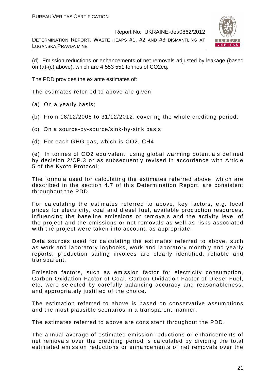DETERMINATION REPORT: WASTE HEAPS #1, #2 AND #3 DISMANTLING AT LUGANSKA PRAVDA MINE



(d) Emission reductions or enhancements of net removals adjusted by leakage (based on (a)-(c) above), which are 4 553 551 tonnes of CO2eq.

The PDD provides the ex ante estimates of:

The estimates referred to above are given:

- (a) On a yearly basis;
- (b) From 18/12/2008 to 31/12/2012, covering the whole crediting period;
- (c) On a source-by-source/sink-by-sink basis;
- (d) For each GHG gas, which is CO2, СН4

(e) In tonnes of CO2 equivalent, using global warming potentials defined by decision 2/CP.3 or as subsequently revised in accordance with Article 5 of the Kyoto Protocol;

The formula used for calculating the estimates referred above, which are described in the section 4.7 of this Determination Report, are consistent throughout the PDD.

For calculating the estimates referred to above, key factors, e.g. local prices for electricity, coal and diesel fuel, available production resources, influencing the baseline emissions or removals and the activity level of the project and the emissions or net removals as well as risks associated with the project were taken into account, as appropriate.

Data sources used for calculating the estimates referred to above, such as work and laboratory logbooks, work and laboratory monthly and yearly reports, production sailing invoices are clearly identified, reliable and transparent.

Emission factors, such as emission factor for electricity consumption, Carbon Oxidation Factor of Coal, Carbon Oxidation Factor of Diesel Fuel, etc, were selected by carefully balancing accuracy and reasonableness, and appropriately justified of the choice.

The estimation referred to above is based on conservative assumptions and the most plausible scenarios in a transparent manner.

The estimates referred to above are consistent throughout the PDD.

The annual average of estimated emission reductions or enhancements of net removals over the crediting period is calculated by dividing the total estimated emission reductions or enhancements of net removals over the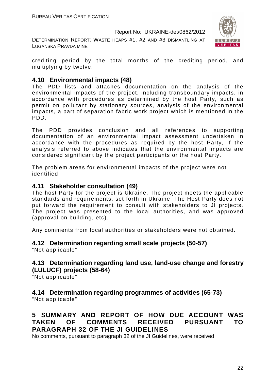DETERMINATION REPORT: WASTE HEAPS #1, #2 AND #3 DISMANTLING AT LUGANSKA PRAVDA MINE



crediting period by the total months of the crediting period, and multiplying by twelve.

# **4.10 Environmental impacts (48)**

The PDD lists and attaches documentation on the analysis of the environmental impacts of the project, including transboundary impacts, in accordance with procedures as determined by the host Party, such as permit on pollutant by stationary sources, analysis of the environmental impacts, a part of separation fabric work project which is mentioned in the PDD.

The PDD provides conclusion and all references to supporting documentation of an environmental impact assessment undertaken in accordance with the procedures as required by the host Party, if the analysis referred to above indicates that the environmental impacts are considered significant by the project participants or the host Party.

The problem areas for environmental impacts of the project were not identified

# **4.11 Stakeholder consultation (49)**

The host Party for the project is Ukraine. The project meets the applicable standards and requirements, set forth in Ukraine. The Host Party does not put forward the requirement to consult with stakeholders to JI projects. The project was presented to the local authorities, and was approved (approval on building, etc).

Any comments from local authorities or stakeholders were not obtained.

# **4.12 Determination regarding small scale projects (50-57)**

"Not applicable"

# **4.13 Determination regarding land use, land-use change and forestry (LULUCF) projects (58-64)**

"Not applicable"

# **4.14 Determination regarding programmes of activities (65-73)**

"Not applicable"

# **5 SUMMARY AND REPORT OF HOW DUE ACCOUNT WAS TAKEN OF COMMENTS RECEIVED PURSUANT TO PARAGRAPH 32 OF THE JI GUIDELINES**

No comments, pursuant to paragraph 32 of the JI Guidelines, were received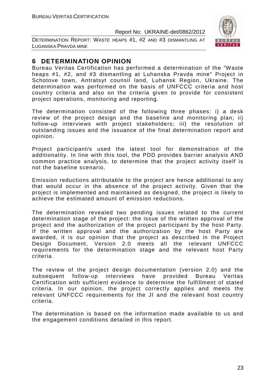DETERMINATION REPORT: WASTE HEAPS #1, #2 AND #3 DISMANTLING AT LUGANSKA PRAVDA MINE



# **6 DETERMINATION OPINION**

Bureau Veritas Certification has performed a determination of the "Waste heaps #1, #2, and #3 dismantling at Luhanska Pravda mine" Project in Schotove town, Antratsyt counsil land, Luhansk Region, Ukraine. The determination was performed on the basis of UNFCCC criteria and host country criteria and also on the criteria given to provide for consistent project operations, monitoring and reporting.

The determination consisted of the following three phases: i) a desk review of the project design and the baseline and monitoring plan; ii) follow-up interviews with project stakeholders; iii) the resolution of outstanding issues and the issuance of the final determination report and opinion.

Project participant/s used the latest tool for demonstration of the additionality. In line with this tool, the PDD provides barrier analysis AND common practice analysis, to determine that the project activity itself is not the baseline scenario.

Emission reductions attributable to the project are hence additional to any that would occur in the absence of the project activity. Given that the project is implemented and maintained as designed, the project is likely to achieve the estimated amount of emission reductions.

The determination revealed two pending issues related to the current determination stage of the project: the issue of the written approval of the project and the authorization of the project participant by the host Party. If the written approval and the authorization by the host Party are awarded, it is our opinion that the project as described in the Project Design Document, Version 2.0 meets all the relevant UNFCCC requirements for the determination stage and the relevant host Party criteria.

The review of the project design documentation (version 2.0) and the subsequent follow-up interviews have provided Bureau Veritas Certification with sufficient evidence to determine the fulfillment of stated criteria. In our opinion, the project correctly applies and meets the relevant UNFCCC requirements for the JI and the relevant host country criteria.

The determination is based on the information made available to us and the engagement conditions detailed in this report.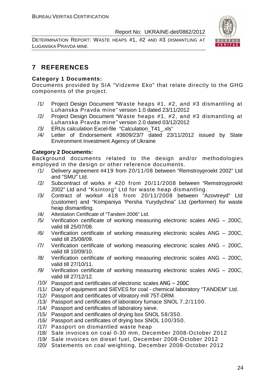DETERMINATION REPORT: WASTE HEAPS #1, #2 AND #3 DISMANTLING AT LUGANSKA PRAVDA MINE



# **7 REFERENCES**

# **Category 1 Documents:**

Documents provided by SIA "Vidzeme Eko" that relate directly to the GHG components of the project.

- /1/ Project Design Document "Waste heaps #1, #2, and #3 dismantling at Luhanska Pravda mine" version 1.0 dated 23/11/2012
- /2/ Project Design Document "Waste heaps #1, #2, and #3 dismantling at Luhanska Pravda mine" version 2.0 dated 03/12/2012
- /3/ ERUs calculation Excel-file "Calculation\_T41\_.xls"
- /4/ Letter of Endorsement #3609/23/7 dated 23/11/2012 issued by State Environment Investment Agency of Ukraine

#### **Category 2 Documents:**

Background documents related to the design and/or methodologies employed in the design or other reference documents.

- /1/ Delivery agreement #419 from 20/11/08 between "Remstroyproekt 2002" Ltd and "SMU" Ltd.
- /2/ Subcontract of works # 420 from 20/11/2008 between "Remstroyproekt 2002" Ltd and "Ksintorg" Ltd for waste heap dismantling.
- /3/ Contract of works# 418 from 20/11/2008 between "Azovtreyd" Ltd (customer) and "Kompaniya 'Persha Yurydychna" Ltd (performer) for waste heap dismantling.
- /4/ Attestation Certificate of "Tandem 2006" Ltd.
- /5/ Verification certificate of working measuring electronic scales ANG 200C, valid till 25/07/08.
- /6/ Verification certificate of working measuring electronic scales ANG 200C, valid till 25/08/09.
- /7/ Verification certificate of working measuring electronic scales ANG 200C, valid till 10/09/10.
- /8/ Verification certificate of working measuring electronic scales ANG 200C, valid till 27/10/11.
- /9/ Verification certificate of working measuring electronic scales ANG 200C, valid till 27/12/12.
- /10/ Passport and certificates of electronic scales ANG 200C
- /11/ Diary of equipment and SIEVES for coal chemical laboratory "TANDEM" Ltd.
- /12/ Passport and certificates of vibratory mill 75T-DRM.
- /13/ Passport and certificates of laboratory furnace SNOL 7,2/1100.
- /14/ Passport and certificates of laboratory sieve.
- /15/ Passport and certificates of drying box SNOL 58/350.
- /16/ Passport and certificates of drying box SNOL 100/350.
- /17/ Passport on dismantled waste heap
- /18/ Sale invoices on coal 0-30 mm, December 2008-October 2012
- /19/ Sale invoices on diesel fuel, December 2008-October 2012
- /20/ Statements on coal weighting, December 2008-October 2012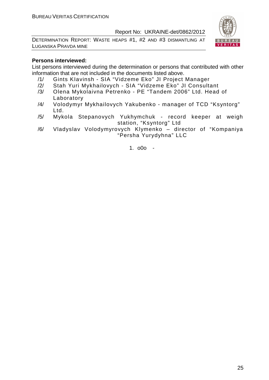DETERMINATION REPORT: WASTE HEAPS #1, #2 AND #3 DISMANTLING AT LUGANSKA PRAVDA MINE



#### **Persons interviewed:**

List persons interviewed during the determination or persons that contributed with other information that are not included in the documents listed above.

- /1/ Gints KIavinsh SIA "Vidzeme Eko" JI Project Manager
- /2/ Stah Yuri Mykhailovych SIA "Vidzeme Eko" JI Consultant
- /3/ Olena Mykolaivna Petrenko PE "Tandem 2006" Ltd. Head of Laboratory
- /4/ Volodymyr Mykhailovych Yakubenko manager of TCD "Ksyntorg" Ltd.
- /5/ Mykola Stepanovych Yukhymchuk record keeper at weigh station, "Ksyntorg" Ltd
- /6/ Vladyslav Volodymyrovych Klymenko director of "Kompaniya "Persha Yurydyhna" LLC

1. o0o -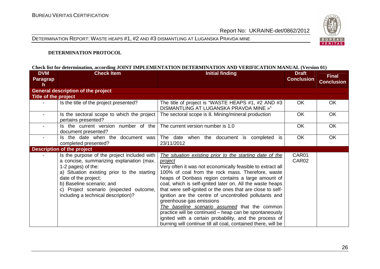DETERMINATION REPORT: WASTE HEAPS #1, #2 AND #3 DISMANTLING AT LUGANSKA PRAVDA MINE



#### **DETERMINATION PROTOCOL**

#### **Check list for determination, according JOINT IMPLEMENTATION DETERMINATION AND VERIFICATION MANUAL (Version 01)**

| <b>DVM</b>           | <b>Check Item</b>                                                                                                                                                                                                                                                                                  | <b>Initial finding</b>                                                                                                                                                                                                                                                                                                                                                                                                                                                                                                                                                                                                                                                                                     | <b>Draft</b>      | Final             |
|----------------------|----------------------------------------------------------------------------------------------------------------------------------------------------------------------------------------------------------------------------------------------------------------------------------------------------|------------------------------------------------------------------------------------------------------------------------------------------------------------------------------------------------------------------------------------------------------------------------------------------------------------------------------------------------------------------------------------------------------------------------------------------------------------------------------------------------------------------------------------------------------------------------------------------------------------------------------------------------------------------------------------------------------------|-------------------|-------------------|
| Paragrap             |                                                                                                                                                                                                                                                                                                    |                                                                                                                                                                                                                                                                                                                                                                                                                                                                                                                                                                                                                                                                                                            | <b>Conclusion</b> | <b>Conclusion</b> |
| h                    |                                                                                                                                                                                                                                                                                                    |                                                                                                                                                                                                                                                                                                                                                                                                                                                                                                                                                                                                                                                                                                            |                   |                   |
|                      | <b>General description of the project</b>                                                                                                                                                                                                                                                          |                                                                                                                                                                                                                                                                                                                                                                                                                                                                                                                                                                                                                                                                                                            |                   |                   |
| Title of the project |                                                                                                                                                                                                                                                                                                    |                                                                                                                                                                                                                                                                                                                                                                                                                                                                                                                                                                                                                                                                                                            |                   |                   |
|                      | Is the title of the project presented?                                                                                                                                                                                                                                                             | The title of project is "WASTE HEAPS #1, #2 AND #3<br>DISMANTLING AT LUGANSKA PRAVDA MINE »"                                                                                                                                                                                                                                                                                                                                                                                                                                                                                                                                                                                                               | OK.               | OK.               |
|                      | Is the sectoral scope to which the project<br>pertains presented?                                                                                                                                                                                                                                  | The sectoral scope is 8. Mining/mineral production                                                                                                                                                                                                                                                                                                                                                                                                                                                                                                                                                                                                                                                         | <b>OK</b>         | OK                |
| $\blacksquare$       | Is the current version number of the<br>document presented?                                                                                                                                                                                                                                        | The current version number is 1.0                                                                                                                                                                                                                                                                                                                                                                                                                                                                                                                                                                                                                                                                          | <b>OK</b>         | OK                |
|                      | Is the date when the document was<br>completed presented?                                                                                                                                                                                                                                          | The date when the document is completed is<br>23/11/2012                                                                                                                                                                                                                                                                                                                                                                                                                                                                                                                                                                                                                                                   | <b>OK</b>         | <b>OK</b>         |
|                      | <b>Description of the project</b>                                                                                                                                                                                                                                                                  |                                                                                                                                                                                                                                                                                                                                                                                                                                                                                                                                                                                                                                                                                                            |                   |                   |
|                      | Is the purpose of the project included with<br>a concise, summarizing explanation (max.<br>1-2 pages) of the:<br>a) Situation existing prior to the starting<br>date of the project;<br>b) Baseline scenario; and<br>c) Project scenario (expected outcome,<br>including a technical description)? | The situation existing prior to the starting date of the<br><i>project</i><br>Very often it was not economically feasible to extract all<br>100% of coal from the rock mass. Therefore, waste<br>heaps of Donbass region contains a large amount of<br>coal, which is self-ignited later on. All the waste heaps<br>that were self-ignited or the ones that are close to self-<br>ignition are the centre of uncontrolled pollutants and<br>greenhouse gas emissions<br>The baseline scenario assumed that the common<br>practice will be continued - heap can be spontaneously<br>ignited with a certain probability, and the process of<br>burning will continue till all coal, contained there, will be | CAR01<br>CAR02    |                   |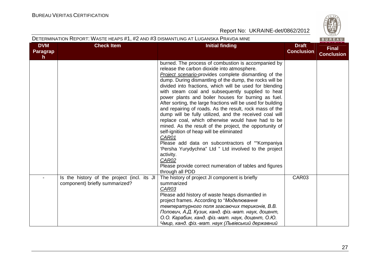**Contract Contract Contract** 

|                              | DETERMINATION REPORT: WASTE HEAPS #1, #2 AND #3 DISMANTLING AT LUGANSKA PRAVDA MINE |                                                                                                                                                                                                                                                                                                                                                                                                                                                                                                                                                                                                                                                                                                                                                                                                                                                                                                                                                                            |                                   | BUREAU                            |
|------------------------------|-------------------------------------------------------------------------------------|----------------------------------------------------------------------------------------------------------------------------------------------------------------------------------------------------------------------------------------------------------------------------------------------------------------------------------------------------------------------------------------------------------------------------------------------------------------------------------------------------------------------------------------------------------------------------------------------------------------------------------------------------------------------------------------------------------------------------------------------------------------------------------------------------------------------------------------------------------------------------------------------------------------------------------------------------------------------------|-----------------------------------|-----------------------------------|
| <b>DVM</b><br>Paragrap<br>h. | <b>Check Item</b>                                                                   | <b>Initial finding</b>                                                                                                                                                                                                                                                                                                                                                                                                                                                                                                                                                                                                                                                                                                                                                                                                                                                                                                                                                     | <b>Draft</b><br><b>Conclusion</b> | <b>Final</b><br><b>Conclusion</b> |
|                              |                                                                                     | burned. The process of combustion is accompanied by<br>release the carbon dioxide into atmosphere.<br>Project scenario-provides complete dismantling of the<br>dump. During dismantling of the dump, the rocks will be<br>divided into fractions, which will be used for blending<br>with steam coal and subsequently supplied to heat<br>power plants and boiler houses for burning as fuel.<br>After sorting, the large fractions will be used for building<br>and repairing of roads. As the result, rock mass of the<br>dump will be fully utilized, and the received coal will<br>replace coal, which otherwise would have had to be<br>mined. As the result of the project, the opportunity of<br>self-ignition of heap will be eliminated<br>CAR01<br>Please add data on subcontractors of "Kompaniya"<br>'Persha Yurydychna" Ltd " Ltd involved to the project<br>activity.<br>CAR02<br>Please provide correct numeration of tables and figures<br>through all PDD |                                   |                                   |
|                              | Is the history of the project (incl. its JI<br>component) briefly summarized?       | The history of project JI component is briefly<br>summarized<br>CAR03<br>Please add history of waste heaps dismantled in<br>project frames. According to "Моделювання<br>температурного поля згасаючих териконів, В.В.<br>Попович, А.Д. Кузик, канд. фіз.-мат. наук, доцент,<br>О.О. Карабин, канд. фіз.-мат. наук, доцент, О.Ю.<br>Чмир, канд. фіз.-мат. наук (Львівський державний                                                                                                                                                                                                                                                                                                                                                                                                                                                                                                                                                                                       | CAR03                             |                                   |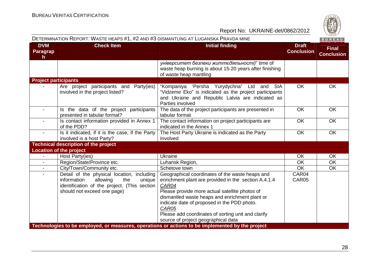| <b>DVM</b><br><b>Check Item</b>                                                                                                                                                                                                                                                             | <b>Initial finding</b>                                                                                                                                                                                                                                                                                                                                                    |                                   |                                   |
|---------------------------------------------------------------------------------------------------------------------------------------------------------------------------------------------------------------------------------------------------------------------------------------------|---------------------------------------------------------------------------------------------------------------------------------------------------------------------------------------------------------------------------------------------------------------------------------------------------------------------------------------------------------------------------|-----------------------------------|-----------------------------------|
| <b>Paragrap</b><br>h.                                                                                                                                                                                                                                                                       |                                                                                                                                                                                                                                                                                                                                                                           | <b>Draft</b><br><b>Conclusion</b> | <b>Final</b><br><b>Conclusion</b> |
|                                                                                                                                                                                                                                                                                             | університет безпеки життєдіяльності)" time of<br>waste heap burning is about 15-20 years after finishing<br>of waste heap mantling                                                                                                                                                                                                                                        |                                   |                                   |
| <b>Project participants</b>                                                                                                                                                                                                                                                                 |                                                                                                                                                                                                                                                                                                                                                                           |                                   |                                   |
| Are project participants and Party(ies)<br>involved in the project listed?                                                                                                                                                                                                                  | "Kompaniya 'Persha Yurydychna" Ltd and<br><b>SIA</b><br>"Vidzeme Eko" is indicated as the project participants<br>and Ukraine and Republic Latvia are indicated as<br>Parties involved                                                                                                                                                                                    | OK                                | <b>OK</b>                         |
| Is the data of the project participants<br>$\blacksquare$<br>presented in tabular format?                                                                                                                                                                                                   | The data of the project participants are presented in<br>tabular format                                                                                                                                                                                                                                                                                                   | OK                                | OK                                |
| Is contact information provided in Annex 1<br>of the PDD?                                                                                                                                                                                                                                   | The contact information on project participants are<br>indicated in the Annex 1                                                                                                                                                                                                                                                                                           | <b>OK</b>                         | <b>OK</b>                         |
| Is it indicated, if it is the case, if the Party<br>involved is a host Party?                                                                                                                                                                                                               | The Host Party Ukraine is indicated as the Party<br>Involved                                                                                                                                                                                                                                                                                                              | OK                                | <b>OK</b>                         |
| <b>Technical description of the project</b>                                                                                                                                                                                                                                                 |                                                                                                                                                                                                                                                                                                                                                                           |                                   |                                   |
| <b>Location of the project</b>                                                                                                                                                                                                                                                              |                                                                                                                                                                                                                                                                                                                                                                           |                                   |                                   |
| Host Party(ies)<br>$\blacksquare$                                                                                                                                                                                                                                                           | Ukraine                                                                                                                                                                                                                                                                                                                                                                   | OK                                | <b>OK</b>                         |
| Region/State/Province etc.                                                                                                                                                                                                                                                                  | Luhansk Region,                                                                                                                                                                                                                                                                                                                                                           | <b>OK</b>                         | <b>OK</b>                         |
| City/Town/Community etc.                                                                                                                                                                                                                                                                    | Schetove town                                                                                                                                                                                                                                                                                                                                                             | <b>OK</b>                         | <b>OK</b>                         |
| Detail of the physical location, including<br>$\blacksquare$<br>information<br>allowing<br>the<br>unique<br>identification of the project. (This section<br>should not exceed one page)<br>Technologies to be employed, or measures, operations or actions to be implemented by the project | Geographical coordinates of the waste heaps and<br>enrichment plant are provided in the section A.4.1.4<br>CAR04<br>Please provide more actual satellite photos of<br>dismantled waste heaps and enrichment plant or<br>indicate date of proposed in the PDD photo.<br>CAR05<br>Please add coordinates of sorting unit and clarify<br>source of project geographical data | CAR04<br>CAR05                    |                                   |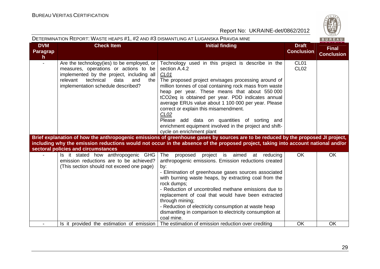

|                                     | DETERMINATION REPORT: WASTE HEAPS #1, #2 AND #3 DISMANTLING AT LUGANSKA PRAVDA MINE                                                                                                                                    |                                                                                                                                                                                                                                                                                                                                                                                                                                                                                                                                                                                                                                                                                                                 |                                   | BUREAU                            |
|-------------------------------------|------------------------------------------------------------------------------------------------------------------------------------------------------------------------------------------------------------------------|-----------------------------------------------------------------------------------------------------------------------------------------------------------------------------------------------------------------------------------------------------------------------------------------------------------------------------------------------------------------------------------------------------------------------------------------------------------------------------------------------------------------------------------------------------------------------------------------------------------------------------------------------------------------------------------------------------------------|-----------------------------------|-----------------------------------|
| <b>DVM</b><br><b>Paragrap</b><br>h. | <b>Check Item</b>                                                                                                                                                                                                      | <b>Initial finding</b>                                                                                                                                                                                                                                                                                                                                                                                                                                                                                                                                                                                                                                                                                          | <b>Draft</b><br><b>Conclusion</b> | <b>Final</b><br><b>Conclusion</b> |
|                                     | Are the technology (ies) to be employed, or<br>measures, operations or actions to be<br>implemented by the project, including all<br>relevant<br>technical<br>data<br>and<br>the<br>implementation schedule described? | Technology used in this project is describe in the<br>section A.4.2<br>CL <sub>01</sub><br>The proposed project envisages processing around of<br>million tonnes of coal containing rock mass from waste<br>heap per year. These means that about 550 000<br>tCO2eq is obtained per year. PDD indicates annual<br>average ERUs value about 1 100 000 per year. Please<br>correct or explain this misamendment.<br>CL <sub>02</sub><br>Please add data on quantities of sorting and<br>enrichment equipment involved in the project and shift-<br>cycle on enrichment plant<br>Brief explanation of how the anthropogenic emissions of greenhouse gases by sources are to be reduced by the proposed JI project, | CL <sub>01</sub><br><b>CL02</b>   |                                   |
|                                     | sectoral policies and circumstances                                                                                                                                                                                    | including why the emission reductions would not occur in the absence of the proposed project, taking into account national and/or                                                                                                                                                                                                                                                                                                                                                                                                                                                                                                                                                                               |                                   |                                   |
|                                     | Is it stated how anthropogenic GHG<br>emission reductions are to be achieved?<br>(This section should not exceed one page)                                                                                             | The<br>project is aimed<br>proposed<br>at reducing<br>anthropogenic emissions. Emission reductions created<br>by:<br>- Elimination of greenhouse gases sources associated<br>with burning waste heaps, by extracting coal from the<br>rock dumps;<br>- Reduction of uncontrolled methane emissions due to<br>replacement of coal that would have been extracted<br>through mining;<br>- Reduction of electricity consumption at waste heap<br>dismantling in comparison to electricity consumption at<br>coal mine.                                                                                                                                                                                             | <b>OK</b>                         | <b>OK</b>                         |
|                                     | Is it provided the estimation of emission                                                                                                                                                                              | The estimation of emission reduction over crediting                                                                                                                                                                                                                                                                                                                                                                                                                                                                                                                                                                                                                                                             | OK                                | <b>OK</b>                         |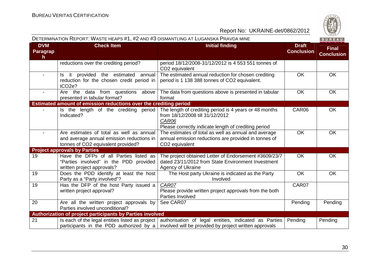

|                              | DETERMINATION REPORT: WASTE HEAPS #1, #2 AND #3 DISMANTLING AT LUGANSKA PRAVDA MINE<br>BUREAU                               |                                                                                                                                                            |                                   |                                   |  |
|------------------------------|-----------------------------------------------------------------------------------------------------------------------------|------------------------------------------------------------------------------------------------------------------------------------------------------------|-----------------------------------|-----------------------------------|--|
| <b>DVM</b><br>Paragrap<br>h. | <b>Check Item</b>                                                                                                           | <b>Initial finding</b>                                                                                                                                     | <b>Draft</b><br><b>Conclusion</b> | <b>Final</b><br><b>Conclusion</b> |  |
|                              | reductions over the crediting period?                                                                                       | period 18/12/2008-31/12/2012 is 4 553 551 tonnes of<br>CO2 equivalent                                                                                      |                                   |                                   |  |
| $\sim$                       | Is it provided the estimated annual<br>reduction for the chosen credit period in<br>$tCO2e$ ?                               | The estimated annual reduction for chosen crediting<br>period is 1 138 388 tonnes of CO2 equivalent.                                                       | <b>OK</b>                         | <b>OK</b>                         |  |
| $\sim$                       | Are the data from questions above<br>presented in tabular format?                                                           | The data from questions above is presented in tabular<br>format                                                                                            | <b>OK</b>                         | <b>OK</b>                         |  |
|                              | Estimated amount of emission reductions over the crediting period                                                           |                                                                                                                                                            |                                   |                                   |  |
|                              | Is the length of the crediting period<br>Indicated?                                                                         | The length of crediting period is 4 years or 48 months<br>from 18/12/2008 till 31/12/2012<br>CAR06<br>Please correctly indicate length of crediting period | CAR06                             | <b>OK</b>                         |  |
| $\blacksquare$               | Are estimates of total as well as annual<br>and average annual emission reductions in<br>tonnes of CO2 equivalent provided? | The estimates of total as well as annual and average<br>annual emission reductions are provided in tonnes of<br>CO2 equivalent                             | <b>OK</b>                         | <b>OK</b>                         |  |
|                              | <b>Project approvals by Parties</b>                                                                                         |                                                                                                                                                            |                                   |                                   |  |
| 19                           | Have the DFPs of all Parties listed as<br>"Parties involved" in the PDD provided<br>written project approvals?              | The project obtained Letter of Endorsement #3609/23/7<br>dated 23/11/2012 from State Environment Investment<br>Agency of Ukraine                           | <b>OK</b>                         | OK                                |  |
| 19                           | Does the PDD identify at least the host<br>Party as a "Party involved"?                                                     | The Host party Ukraine is indicated as the Party<br>Involved                                                                                               | <b>OK</b>                         | <b>OK</b>                         |  |
| 19                           | Has the DFP of the host Party issued a<br>written project approval?                                                         | CAR07<br>Please provide written project approvals from the both<br>Parties Involved                                                                        | CAR07                             |                                   |  |
| 20                           | Are all the written project approvals by<br>Parties involved unconditional?                                                 | See CAR07                                                                                                                                                  | Pending                           | Pending                           |  |
|                              | Authorization of project participants by Parties involved                                                                   |                                                                                                                                                            |                                   |                                   |  |
| 21                           | Is each of the legal entities listed as project<br>participants in the PDD authorized by $a \mid$                           | authorisation of legal entities, indicated as Parties<br>involved will be provided by project written approvals                                            | Pending                           | Pending                           |  |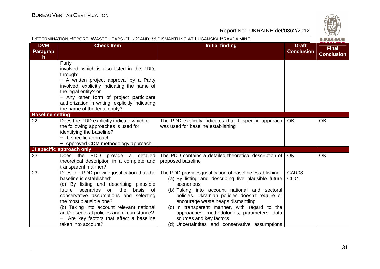| i,           |
|--------------|
|              |
| CO.          |
|              |
| 6<br>۰.<br>╾ |
| 828          |

|                                               | DETERMINATION REPORT: WASTE HEAPS #1, #2 AND #3 DISMANTLING AT LUGANSKA PRAVDA MINE                                                                                                                                                                                                                                                                                                                    |                                                                                                                                                                                                                                                                                                                                                                                                                                                     |                                   | BUREAU                            |
|-----------------------------------------------|--------------------------------------------------------------------------------------------------------------------------------------------------------------------------------------------------------------------------------------------------------------------------------------------------------------------------------------------------------------------------------------------------------|-----------------------------------------------------------------------------------------------------------------------------------------------------------------------------------------------------------------------------------------------------------------------------------------------------------------------------------------------------------------------------------------------------------------------------------------------------|-----------------------------------|-----------------------------------|
| <b>DVM</b><br><b>Paragrap</b><br>$\mathsf{h}$ | <b>Check Item</b>                                                                                                                                                                                                                                                                                                                                                                                      | <b>Initial finding</b>                                                                                                                                                                                                                                                                                                                                                                                                                              | <b>Draft</b><br><b>Conclusion</b> | <b>Final</b><br><b>Conclusion</b> |
|                                               | Party<br>involved, which is also listed in the PDD,<br>through:<br>- A written project approval by a Party<br>involved, explicitly indicating the name of<br>the legal entity? or<br>- Any other form of project participant<br>authorization in writing, explicitly indicating<br>the name of the legal entity?                                                                                       |                                                                                                                                                                                                                                                                                                                                                                                                                                                     |                                   |                                   |
| <b>Baseline setting</b><br>22                 | Does the PDD explicitly indicate which of<br>the following approaches is used for<br>identifying the baseline?<br>- JI specific approach<br>- Approved CDM methodology approach                                                                                                                                                                                                                        | The PDD explicitly indicates that JI specific approach<br>was used for baseline establishing                                                                                                                                                                                                                                                                                                                                                        | <b>OK</b>                         | <b>OK</b>                         |
|                                               | JI specific approach only                                                                                                                                                                                                                                                                                                                                                                              |                                                                                                                                                                                                                                                                                                                                                                                                                                                     |                                   |                                   |
| 23                                            | Does the PDD provide a detailed<br>theoretical description in a complete and<br>transparent manner?                                                                                                                                                                                                                                                                                                    | The PDD contains a detailed theoretical description of<br>proposed baseline                                                                                                                                                                                                                                                                                                                                                                         | <b>OK</b>                         | OK                                |
| 23                                            | Does the PDD provide justification that the<br>baseline is established:<br>(a) By listing and describing plausible<br>the<br>scenarios<br>basis<br>future<br>on<br>of<br>conservative assumptions and selecting<br>the most plausible one?<br>(b) Taking into account relevant national<br>and/or sectoral policies and circumstance?<br>Are key factors that affect a baseline<br>taken into account? | The PDD provides justification of baseline establishing<br>(a) By listing and describing five plausible future<br>scenarious<br>(b) Taking into account national and sectoral<br>policies. Ukrainian policies doesn't require or<br>encourage waste heaps dismantling<br>(c) In transparent manner, with regard to the<br>approaches, methodologies, parameters, data<br>sources and key factors<br>(d) Uncertaintites and conservative assumptions | CAR08<br>CL <sub>04</sub>         |                                   |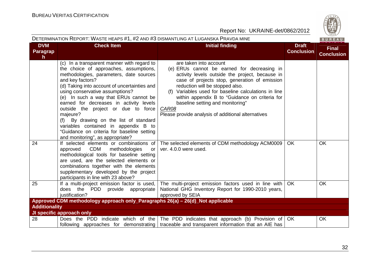$R \cup R$ 

|                                        | DETERMINATION REPORT: WASTE HEAPS #1, #2 AND #3 DISMANTLING AT LUGANSKA PRAVDA MINE                                                                                                                                                                                                                                                                                                                                                                                                                                                               |                                                                                                                                                                                                                                                                                                                                                                                                                           |                                   | BUREAU                            |
|----------------------------------------|---------------------------------------------------------------------------------------------------------------------------------------------------------------------------------------------------------------------------------------------------------------------------------------------------------------------------------------------------------------------------------------------------------------------------------------------------------------------------------------------------------------------------------------------------|---------------------------------------------------------------------------------------------------------------------------------------------------------------------------------------------------------------------------------------------------------------------------------------------------------------------------------------------------------------------------------------------------------------------------|-----------------------------------|-----------------------------------|
| <b>DVM</b><br>Paragrap<br>$\mathsf{h}$ | <b>Check Item</b>                                                                                                                                                                                                                                                                                                                                                                                                                                                                                                                                 | <b>Initial finding</b>                                                                                                                                                                                                                                                                                                                                                                                                    | <b>Draft</b><br><b>Conclusion</b> | <b>Final</b><br><b>Conclusion</b> |
|                                        | (c) In a transparent manner with regard to<br>the choice of approaches, assumptions,<br>methodologies, parameters, date sources<br>and key factors?<br>(d) Taking into account of uncertainties and<br>using conservative assumptions?<br>(e) In such a way that ERUs cannot be<br>earned for decreases in activity levels<br>outside the project or due to force<br>majeure?<br>(f) By drawing on the list of standard<br>variables contained in appendix B to<br>"Guidance on criteria for baseline setting<br>and monitoring", as appropriate? | are taken into account<br>(e) ERUs cannot be earned for decreasing in<br>activity levels outside the project, because in<br>case of projects stop, generation of emission<br>reduction will be stopped also.<br>(f) Variables used for baseline calculations in line<br>within appendix B to "Guidance on criteria for<br>baseline setting and monitoring"<br>CAR08<br>Please provide analysis of additional alternatives |                                   |                                   |
| 24                                     | If selected elements or combinations of<br>CDM<br>methodologies<br>approved<br>or<br>methodological tools for baseline setting<br>are used, are the selected elements or<br>combinations together with the elements<br>supplementary developed by the project<br>participants in line with 23 above?                                                                                                                                                                                                                                              | The selected elements of CDM methodology ACM0009<br>ver. 4.0.0 were used.                                                                                                                                                                                                                                                                                                                                                 | <b>OK</b>                         | <b>OK</b>                         |
| 25                                     | If a multi-project emission factor is used,<br>does the PDD provide appropriate<br>justification?                                                                                                                                                                                                                                                                                                                                                                                                                                                 | The multi-project emission factors used in line with<br>National GHG Inventory Report for 1990-2010 years,<br>approved by SEIA                                                                                                                                                                                                                                                                                            | <b>OK</b>                         | <b>OK</b>                         |
|                                        | Approved CDM methodology approach only_Paragraphs 26(a) - 26(d)_Not applicable                                                                                                                                                                                                                                                                                                                                                                                                                                                                    |                                                                                                                                                                                                                                                                                                                                                                                                                           |                                   |                                   |
| <b>Additionality</b>                   |                                                                                                                                                                                                                                                                                                                                                                                                                                                                                                                                                   |                                                                                                                                                                                                                                                                                                                                                                                                                           |                                   |                                   |
|                                        | JI specific approach only                                                                                                                                                                                                                                                                                                                                                                                                                                                                                                                         |                                                                                                                                                                                                                                                                                                                                                                                                                           |                                   |                                   |
| 28                                     |                                                                                                                                                                                                                                                                                                                                                                                                                                                                                                                                                   | Does the PDD indicate which of the The PDD indicates that approach (b) Provision of $\overline{OK}$<br>following approaches for demonstrating traceable and transparent information that an AIE has                                                                                                                                                                                                                       |                                   | OK                                |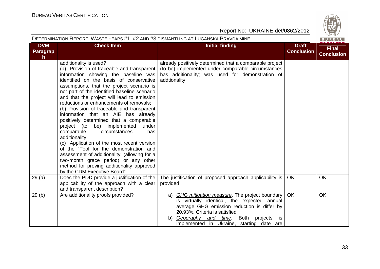|                              | DETERMINATION REPORT: WASTE HEAPS #1, #2 AND #3 DISMANTLING AT LUGANSKA PRAVDA MINE<br>BUREAU                                                                                                                                                                                                                                                                                                                                                                                                                                                                                                                                                                                                                                                                                                                                                 |                                                                                                                                                                                                                                                                                     |                                   |                                   |  |
|------------------------------|-----------------------------------------------------------------------------------------------------------------------------------------------------------------------------------------------------------------------------------------------------------------------------------------------------------------------------------------------------------------------------------------------------------------------------------------------------------------------------------------------------------------------------------------------------------------------------------------------------------------------------------------------------------------------------------------------------------------------------------------------------------------------------------------------------------------------------------------------|-------------------------------------------------------------------------------------------------------------------------------------------------------------------------------------------------------------------------------------------------------------------------------------|-----------------------------------|-----------------------------------|--|
| <b>DVM</b><br>Paragrap<br>h. | <b>Check Item</b>                                                                                                                                                                                                                                                                                                                                                                                                                                                                                                                                                                                                                                                                                                                                                                                                                             | <b>Initial finding</b>                                                                                                                                                                                                                                                              | <b>Draft</b><br><b>Conclusion</b> | <b>Final</b><br><b>Conclusion</b> |  |
|                              | additionality is used?<br>(a) Provision of traceable and transparent<br>information showing the baseline was<br>identified on the basis of conservative<br>assumptions, that the project scenario is<br>not part of the identified baseline scenario<br>and that the project will lead to emission<br>reductions or enhancements of removals;<br>(b) Provision of traceable and transparent<br>information that an AIE has already<br>positively determined that a comparable<br>be) implemented<br>project (to<br>under<br>comparable<br>circumstances<br>has<br>additionality;<br>(c) Application of the most recent version<br>of the "Tool for the demonstration and<br>assessment of additionality. (allowing for a<br>two-month grace period) or any other<br>method for proving additionality approved<br>by the CDM Executive Board". | already positively determined that a comparable project<br>(to be) implemented under comparable circumstances<br>has additionality; was used for demonstration of<br>addtionality                                                                                                   |                                   |                                   |  |
| 29(a)                        | Does the PDD provide a justification of the<br>applicability of the approach with a clear<br>and transparent description?                                                                                                                                                                                                                                                                                                                                                                                                                                                                                                                                                                                                                                                                                                                     | The justification of proposed approach applicability is<br>provided                                                                                                                                                                                                                 | OK.                               | <b>OK</b>                         |  |
| 29(b)                        | Are additionality proofs provided?                                                                                                                                                                                                                                                                                                                                                                                                                                                                                                                                                                                                                                                                                                                                                                                                            | a) GHG mitigation measure. The project boundary<br>is virtually identical, the expected annual<br>average GHG emission reduction is differ by<br>20.93%. Criteria is satisfied<br>Geography and time. Both projects<br>b)<br><b>is</b><br>implemented in Ukraine, starting date are | <b>OK</b>                         | OK                                |  |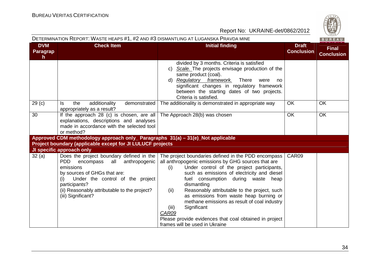| DETERMINATION REPORT: WASTE HEAPS #1, #2 AND #3 DISMANTLING AT LUGANSKA PRAVDA MINE<br>BUREAU |                                                                                                                                                                                                                                                                            |                                                                                                                                                                                                                                                                                                                                                                                                                                                                                                                                                     |                                   |                                   |  |
|-----------------------------------------------------------------------------------------------|----------------------------------------------------------------------------------------------------------------------------------------------------------------------------------------------------------------------------------------------------------------------------|-----------------------------------------------------------------------------------------------------------------------------------------------------------------------------------------------------------------------------------------------------------------------------------------------------------------------------------------------------------------------------------------------------------------------------------------------------------------------------------------------------------------------------------------------------|-----------------------------------|-----------------------------------|--|
| <b>DVM</b><br>Paragrap<br>h.                                                                  | <b>Check Item</b>                                                                                                                                                                                                                                                          | <b>Initial finding</b>                                                                                                                                                                                                                                                                                                                                                                                                                                                                                                                              | <b>Draft</b><br><b>Conclusion</b> | <b>Final</b><br><b>Conclusion</b> |  |
|                                                                                               |                                                                                                                                                                                                                                                                            | divided by 3 months. Criteria is satisfied<br>c) Scale. The projects envisage production of the<br>same product (coal).<br>d) Regulatory framework.<br><b>There</b><br>were<br>no<br>significant changes in regulatory framework<br>between the starting dates of two projects.<br>Criteria is satisfied.                                                                                                                                                                                                                                           |                                   |                                   |  |
| 29 <sub>(c)</sub>                                                                             | additionality<br>the<br>demonstrated<br>ls.<br>appropriately as a result?                                                                                                                                                                                                  | The additionality is demonstrated in appropriate way                                                                                                                                                                                                                                                                                                                                                                                                                                                                                                | OK                                | <b>OK</b>                         |  |
| 30                                                                                            | If the approach 28 (c) is chosen, are all The Approach $28(b)$ was chosen<br>explanations, descriptions and analyses<br>made in accordance with the selected tool<br>or method?                                                                                            |                                                                                                                                                                                                                                                                                                                                                                                                                                                                                                                                                     | <b>OK</b>                         | <b>OK</b>                         |  |
|                                                                                               | Approved CDM methodology approach only_ Paragraphs 31(a) - 31(e)_Not applicable                                                                                                                                                                                            |                                                                                                                                                                                                                                                                                                                                                                                                                                                                                                                                                     |                                   |                                   |  |
|                                                                                               | Project boundary (applicable except for JI LULUCF projects                                                                                                                                                                                                                 |                                                                                                                                                                                                                                                                                                                                                                                                                                                                                                                                                     |                                   |                                   |  |
|                                                                                               | JI specific approach only                                                                                                                                                                                                                                                  |                                                                                                                                                                                                                                                                                                                                                                                                                                                                                                                                                     |                                   |                                   |  |
| 32(a)                                                                                         | Does the project boundary defined in the<br><b>PDD</b><br>all<br>anthropogenic<br>encompass<br>emissions<br>by sources of GHGs that are:<br>Under the control of the project<br>(i)<br>participants?<br>(ii) Reasonably attributable to the project?<br>(iii) Significant? | The project boundaries defined in the PDD encompass<br>all anthropogenic emissions by GHG sources that are<br>Under control of the project participants,<br>(i)<br>such as emissions of electricity and diesel<br>fuel consumption during waste heap<br>dismantling<br>Reasonably attributable to the project, such<br>(ii)<br>as emissions from waste heap burning or<br>methane emissions as result of coal industry<br>Significant<br>(iii)<br>CAR09<br>Please provide evidences that coal obtained in project<br>frames will be used in Ukraine | CAR09                             |                                   |  |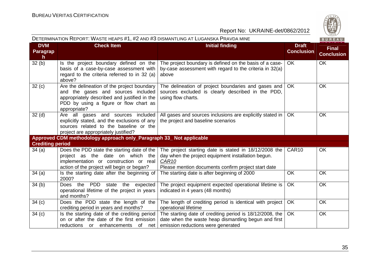

| DETERMINATION REPORT: WASTE HEAPS #1, #2 AND #3 DISMANTLING AT LUGANSKA PRAVDA MINE<br>BUREAU |                                                                                                                                                                                             |                                                                                                                                                                                         |                                   |                                   |
|-----------------------------------------------------------------------------------------------|---------------------------------------------------------------------------------------------------------------------------------------------------------------------------------------------|-----------------------------------------------------------------------------------------------------------------------------------------------------------------------------------------|-----------------------------------|-----------------------------------|
| <b>DVM</b><br><b>Paragrap</b><br>h.                                                           | <b>Check Item</b>                                                                                                                                                                           | <b>Initial finding</b>                                                                                                                                                                  | <b>Draft</b><br><b>Conclusion</b> | <b>Final</b><br><b>Conclusion</b> |
| 32(b)                                                                                         | Is the project boundary defined on the<br>basis of a case-by-case assessment with<br>regard to the criteria referred to in 32 (a)<br>above?                                                 | The project boundary is defined on the basis of a case-<br>by-case assessment with regard to the criteria in 32(a)<br>above                                                             | <b>OK</b>                         | <b>OK</b>                         |
| 32(c)                                                                                         | Are the delineation of the project boundary<br>and the gases and sources included<br>appropriately described and justified in the<br>PDD by using a figure or flow chart as<br>appropriate? | The delineation of project boundaries and gases and<br>sources excluded is clearly described in the PDD,<br>using flow charts.                                                          | OK.                               | OK                                |
| 32 <sub>(d)</sub>                                                                             | Are all gases and sources included<br>explicitly stated, and the exclusions of any<br>sources related to the baseline or the<br>project are appropriately justified?                        | All gases and sources inclusions are explicitly stated in  <br>the project and baseline scenarios                                                                                       | OK.                               | OK                                |
|                                                                                               | Approved CDM methodology approach only_Paragraph 33_ Not applicable                                                                                                                         |                                                                                                                                                                                         |                                   |                                   |
| <b>Crediting period</b>                                                                       |                                                                                                                                                                                             |                                                                                                                                                                                         |                                   |                                   |
| 34(a)                                                                                         | Does the PDD state the starting date of the<br>project as the date on which the<br>implementation or construction or real<br>action of the project will begin or began?                     | The project starting date is stated in 18/12/2008 the<br>day when the project equipment installation begun.<br>CAR <sub>10</sub><br>Please mention documents confirm project start date | CAR <sub>10</sub>                 | OK                                |
| 34(a)                                                                                         | Is the starting date after the beginning of<br>2000?                                                                                                                                        | The starting date is after beginning of 2000                                                                                                                                            | <b>OK</b>                         | OK                                |
| 34(b)                                                                                         | Does the PDD state the expected<br>operational lifetime of the project in years<br>and months?                                                                                              | The project equipment expected operational lifetime is<br>indicated in 4 years (48 months)                                                                                              | <b>OK</b>                         | <b>OK</b>                         |
| 34 <sub>(c)</sub>                                                                             | Does the PDD state the length of the<br>crediting period in years and months?                                                                                                               | The length of crediting period is identical with project<br>operational lifetime                                                                                                        | <b>OK</b>                         | <b>OK</b>                         |
| 34(c)                                                                                         | Is the starting date of the crediting period<br>on or after the date of the first emission<br>reductions or enhancements<br>of net                                                          | The starting date of crediting period is 18/12/2008, the<br>date when the waste heap dismantling begun and first<br>emission reductions were generated                                  | <b>OK</b>                         | OK                                |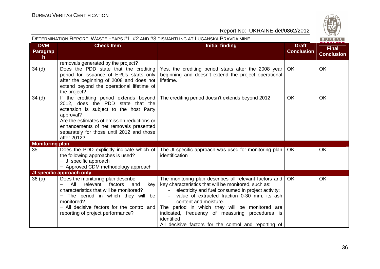

|                             | DETERMINATION REPORT: WASTE HEAPS #1, #2 AND #3 DISMANTLING AT LUGANSKA PRAVDA MINE<br>BUREAU                                                                                                                                                                                              |                                                                                                                                                                                                                                                                                                                                                                                                                           |                                   |                                   |  |
|-----------------------------|--------------------------------------------------------------------------------------------------------------------------------------------------------------------------------------------------------------------------------------------------------------------------------------------|---------------------------------------------------------------------------------------------------------------------------------------------------------------------------------------------------------------------------------------------------------------------------------------------------------------------------------------------------------------------------------------------------------------------------|-----------------------------------|-----------------------------------|--|
| <b>DVM</b><br>Paragrap<br>h | <b>Check Item</b>                                                                                                                                                                                                                                                                          | <b>Initial finding</b>                                                                                                                                                                                                                                                                                                                                                                                                    | <b>Draft</b><br><b>Conclusion</b> | <b>Final</b><br><b>Conclusion</b> |  |
|                             | removals generated by the project?                                                                                                                                                                                                                                                         |                                                                                                                                                                                                                                                                                                                                                                                                                           |                                   |                                   |  |
| 34 <sub>(d)</sub>           | Does the PDD state that the crediting<br>period for issuance of ERUs starts only<br>after the beginning of 2008 and does not<br>extend beyond the operational lifetime of<br>the project?                                                                                                  | Yes, the crediting period starts after the 2008 year<br>beginning and doesn't extend the project operational<br>lifetime.                                                                                                                                                                                                                                                                                                 | OK.                               | <b>OK</b>                         |  |
| 34 <sub>(d)</sub>           | If the crediting period extends beyond<br>2012, does the PDD state that the<br>extension is subject to the host Party<br>approval?<br>Are the estimates of emission reductions or<br>enhancements of net removals presented<br>separately for those until 2012 and those<br>after 2012?    | The crediting period doesn't extends beyond 2012                                                                                                                                                                                                                                                                                                                                                                          | <b>OK</b>                         | OK                                |  |
| <b>Monitoring plan</b>      |                                                                                                                                                                                                                                                                                            |                                                                                                                                                                                                                                                                                                                                                                                                                           |                                   |                                   |  |
| 35                          | Does the PDD explicitly indicate which of<br>the following approaches is used?<br>- JI specific approach<br>- Approved CDM methodology approach                                                                                                                                            | The JI specific approach was used for monitoring plan<br>identification                                                                                                                                                                                                                                                                                                                                                   | <b>OK</b>                         | OK                                |  |
|                             | JI specific approach only                                                                                                                                                                                                                                                                  |                                                                                                                                                                                                                                                                                                                                                                                                                           |                                   |                                   |  |
| 36 (a)                      | Does the monitoring plan describe:<br>factors<br>All<br>relevant<br>key<br>and<br>characteristics that will be monitored?<br>The period in which they will be<br>$\overline{\phantom{0}}$<br>monitored?<br>- All decisive factors for the control and<br>reporting of project performance? | The monitoring plan describes all relevant factors and<br>key characteristics that will be monitored, such as:<br>electricity and fuel consumed in project activity;<br>value of extracted fraction 0-30 mm, its ash<br>content and moisture.<br>The period in which they will be monitored are<br>indicated, frequency of measuring procedures is<br>identified<br>All decisive factors for the control and reporting of | <b>OK</b>                         | OK                                |  |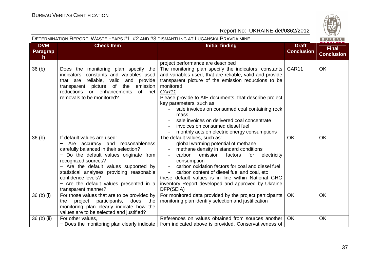|                                    | DETERMINATION REPORT: WASTE HEAPS #1, #2 AND #3 DISMANTLING AT LUGANSKA PRAVDA MINE<br>BUREAU                                                                                                                                                                                                                                                           |                                                                                                                                                                                                                                                                                                                                                                                                                                                                                   |                                   |                                   |  |  |
|------------------------------------|---------------------------------------------------------------------------------------------------------------------------------------------------------------------------------------------------------------------------------------------------------------------------------------------------------------------------------------------------------|-----------------------------------------------------------------------------------------------------------------------------------------------------------------------------------------------------------------------------------------------------------------------------------------------------------------------------------------------------------------------------------------------------------------------------------------------------------------------------------|-----------------------------------|-----------------------------------|--|--|
| <b>DVM</b><br><b>Paragrap</b><br>h | <b>Check Item</b>                                                                                                                                                                                                                                                                                                                                       | <b>Initial finding</b>                                                                                                                                                                                                                                                                                                                                                                                                                                                            | <b>Draft</b><br><b>Conclusion</b> | <b>Final</b><br><b>Conclusion</b> |  |  |
|                                    |                                                                                                                                                                                                                                                                                                                                                         | project performance are described                                                                                                                                                                                                                                                                                                                                                                                                                                                 |                                   |                                   |  |  |
| 36 <sub>(b)</sub>                  | Does the monitoring plan specify the<br>indicators, constants and variables used<br>that are reliable, valid and provide<br>transparent picture of the<br>emission<br>reductions or enhancements<br>of net<br>removals to be monitored?                                                                                                                 | The monitoring plan specify the indicators, constants<br>and variables used, that are reliable, valid and provide<br>transparent picture of the emission reductions to be<br>monitored<br>CAR11<br>Please provide to AIE documents, that describe project<br>key parameters, such as<br>sale invoices on consumed coal containing rock<br>mass<br>sale invoices on delivered coal concentrate<br>invoices on consumed diesel fuel<br>monthly acts on electric energy consumptions | CAR <sub>11</sub>                 | <b>OK</b>                         |  |  |
| 36(b)                              | If default values are used:<br>Are accuracy and reasonableness<br>carefully balanced in their selection?<br>- Do the default values originate from<br>recognized sources?<br>- Are the default values supported by<br>statistical analyses providing reasonable<br>confidence levels?<br>- Are the default values presented in a<br>transparent manner? | The default values, such as:<br>global warming potential of methane<br>methane density in standard conditions<br>$\blacksquare$<br>carbon<br>emission<br>electricity<br>factors<br>for<br>$\overline{\phantom{a}}$<br>consumption<br>carbon oxidation factors for coal and diesel fuel<br>$\blacksquare$<br>carbon content of diesel fuel and coal, etc<br>these default values is in line within National GHG<br>inventory Report developed and approved by Ukraine<br>DFP(SEIA) | <b>OK</b>                         | <b>OK</b>                         |  |  |
| $36$ (b) (i)                       | For those values that are to be provided by<br>project participants,<br>does<br>the<br>the<br>monitoring plan clearly indicate how the<br>values are to be selected and justified?                                                                                                                                                                      | For monitored data provided by the project participants<br>monitoring plan identify selection and justification                                                                                                                                                                                                                                                                                                                                                                   | <b>OK</b>                         | OK                                |  |  |
| $36$ (b) (ii)                      | For other values,                                                                                                                                                                                                                                                                                                                                       | References on values obtained from sources another<br>- Does the monitoring plan clearly indicate   from indicated above is provided. Conservativeness of                                                                                                                                                                                                                                                                                                                         | OK.                               | OK                                |  |  |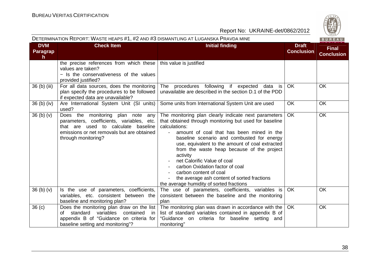

| DETERMINATION REPORT: WASTE HEAPS #1, #2 AND #3 DISMANTLING AT LUGANSKA PRAVDA MINE<br>BUREAU |                                                                                                                                                                                               |                                                                                                                                                                                                                                                                                                                                                                                                                                                                                                                                |                                   |                                   |
|-----------------------------------------------------------------------------------------------|-----------------------------------------------------------------------------------------------------------------------------------------------------------------------------------------------|--------------------------------------------------------------------------------------------------------------------------------------------------------------------------------------------------------------------------------------------------------------------------------------------------------------------------------------------------------------------------------------------------------------------------------------------------------------------------------------------------------------------------------|-----------------------------------|-----------------------------------|
| <b>DVM</b><br>Paragrap<br>h.                                                                  | <b>Check Item</b>                                                                                                                                                                             | <b>Initial finding</b>                                                                                                                                                                                                                                                                                                                                                                                                                                                                                                         | <b>Draft</b><br><b>Conclusion</b> | <b>Final</b><br><b>Conclusion</b> |
|                                                                                               | the precise references from which these<br>values are taken?<br>- Is the conservativeness of the values<br>provided justified?                                                                | this value is justified                                                                                                                                                                                                                                                                                                                                                                                                                                                                                                        |                                   |                                   |
| 36 (b) (iii)                                                                                  | For all data sources, does the monitoring<br>plan specify the procedures to be followed<br>if expected data are unavailable?                                                                  | The procedures following if expected<br>data is<br>unavailable are described in the section D.1 of the PDD                                                                                                                                                                                                                                                                                                                                                                                                                     | <b>OK</b>                         | OK                                |
| $36(b)$ (iv)                                                                                  | Are International System Unit (SI units)<br>used?                                                                                                                                             | Some units from International System Unit are used                                                                                                                                                                                                                                                                                                                                                                                                                                                                             | OK                                | OK                                |
| 36 <sub>(b)</sub> <sub>(v)</sub>                                                              | Does the monitoring plan note<br>any<br>parameters, coefficients, variables, etc.<br>that are used to calculate baseline<br>emissions or net removals but are obtained<br>through monitoring? | The monitoring plan clearly indicate next parameters<br>that obtained through monitoring but used for baseline<br>calculations:<br>amount of coal that has been mined in the<br>baseline scenario and combusted for energy<br>use, equivalent to the amount of coal extracted<br>from the waste heap because of the project<br>activity<br>net Calorific Value of coal<br>carbon Oxidation factor of coal<br>carbon content of coal<br>the average ash content of sorted fractions<br>the average humidity of sorted fractions | <b>OK</b>                         | OK                                |
| 36 <sub>(b)</sub> <sub>(v)</sub>                                                              | Is the use of parameters, coefficients,<br>variables, etc. consistent between the<br>baseline and monitoring plan?                                                                            | The use of parameters, coefficients, variables is<br>consistent between the baseline and the monitoring<br>plan                                                                                                                                                                                                                                                                                                                                                                                                                | <b>OK</b>                         | OK                                |
| 36 <sub>(c)</sub>                                                                             | Does the monitoring plan draw on the list<br>variables<br>contained<br>standard<br>of<br>-in<br>appendix B of "Guidance on criteria for<br>baseline setting and monitoring"?                  | The monitoring plan was drawn in accordance with the<br>list of standard variables contained in appendix B of<br>"Guidance on criteria for baseline setting and<br>monitoring"                                                                                                                                                                                                                                                                                                                                                 | OK                                | OK                                |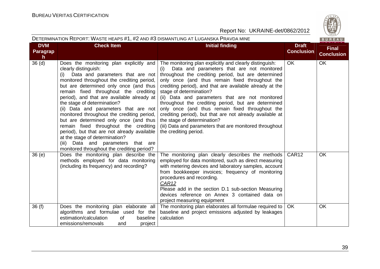**DVM** 



Report No: UKRAINE-det/0862/2012

#### DETERMINATION REPORT: WASTE HEAPS #1, #2 AND #3 DISMANTLING AT LUGANSKA PRAVDA MINE

**Check Item Initial finding Check Item Initial finding** 

|                                                                |                                   | EAU<br>R                   |
|----------------------------------------------------------------|-----------------------------------|----------------------------|
|                                                                | <b>Draft</b><br><b>Conclusion</b> | Final<br><b>Conclusion</b> |
| inguish:<br>monitored<br>determined<br>ghout the<br>ady at the | OK                                | OK                         |

| <u>Pa</u> ragrap<br>h |                                                                                                                                                                                                                                                                                                                                                                                                                                                                                                                                                                                                                                                                           |                                                                                                                                                                                                                                                                                                                                                                                                                                                                                                                                                                                                                                                           | <b>Conclusion</b> | <b>Conclusion</b> |
|-----------------------|---------------------------------------------------------------------------------------------------------------------------------------------------------------------------------------------------------------------------------------------------------------------------------------------------------------------------------------------------------------------------------------------------------------------------------------------------------------------------------------------------------------------------------------------------------------------------------------------------------------------------------------------------------------------------|-----------------------------------------------------------------------------------------------------------------------------------------------------------------------------------------------------------------------------------------------------------------------------------------------------------------------------------------------------------------------------------------------------------------------------------------------------------------------------------------------------------------------------------------------------------------------------------------------------------------------------------------------------------|-------------------|-------------------|
| 36 <sub>(d)</sub>     | Does the monitoring plan explicitly and<br>clearly distinguish:<br>Data and parameters that are not<br>(i)<br>monitored throughout the crediting period,<br>but are determined only once (and thus<br>remain fixed throughout the crediting<br>period), and that are available already at  <br>the stage of determination?<br>(ii) Data and parameters that are not<br>monitored throughout the crediting period,<br>but are determined only once (and thus<br>remain fixed throughout the crediting<br>period), but that are not already available<br>at the stage of determination?<br>(iii) Data and parameters that are<br>monitored throughout the crediting period? | The monitoring plan explicitly and clearly distinguish:<br>Data and parameters that are not monitored<br>(i)<br>throughout the crediting period, but are determined<br>only once (and thus remain fixed throughout the<br>crediting period), and that are available already at the<br>stage of determination?<br>(ii) Data and parameters that are not monitored<br>throughout the crediting period, but are determined<br>only once (and thus remain fixed throughout the<br>crediting period), but that are not already available at<br>the stage of determination?<br>(iii) Data and parameters that are monitored throughout<br>the crediting period. | OK                | <b>OK</b>         |
| 36(e)                 | Does the monitoring plan describe the<br>methods employed for data monitoring<br>(including its frequency) and recording?                                                                                                                                                                                                                                                                                                                                                                                                                                                                                                                                                 | The monitoring plan clearly describes the methods<br>employed for data monitored, such as direct measuring<br>with metering devices and laboratory samples, account<br>from bookkeeper invoices; frequency of monitoring<br>procedures and recording.<br>CAR <sub>12</sub><br>Please add in the section D.1 sub-section Measuring<br>devices reference on Annex 3 contained data on<br>project measuring equipment                                                                                                                                                                                                                                        | CAR <sub>12</sub> | OK                |
| 36(f)                 | Does the monitoring plan elaborate all<br>algorithms and formulae used for the<br>estimation/calculation<br>baseline<br>of<br>emissions/removals<br>project<br>and                                                                                                                                                                                                                                                                                                                                                                                                                                                                                                        | The monitoring plan elaborates all formulae required to<br>baseline and project emissions adjusted by leakages<br>calculation                                                                                                                                                                                                                                                                                                                                                                                                                                                                                                                             | <b>OK</b>         | OK                |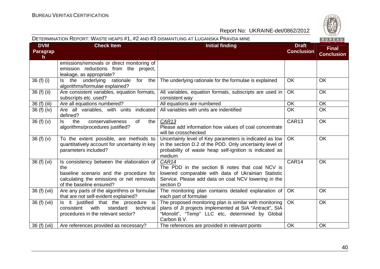

#### DETERMINATION REPORT: WASTE HEAPS #1, #2 AND #3 DISMANTLING AT LUGANSKA PRAVDA MINE

|  | ٠ |  |  |
|--|---|--|--|
|  |   |  |  |

| <b>DVM</b>            | <b>Check Item</b><br><b>Initial finding</b>                                                                                                                          |                                                                                                                                                                                          | <b>Draft</b>      | <b>Final</b>      |
|-----------------------|----------------------------------------------------------------------------------------------------------------------------------------------------------------------|------------------------------------------------------------------------------------------------------------------------------------------------------------------------------------------|-------------------|-------------------|
| <b>Paragrap</b><br>h. |                                                                                                                                                                      |                                                                                                                                                                                          | <b>Conclusion</b> | <b>Conclusion</b> |
|                       | emissions/removals or direct monitoring of<br>emission reductions from the project,<br>leakage, as appropriate?                                                      |                                                                                                                                                                                          |                   |                   |
| 36 (f) (i)            | Is the underlying<br>rationale<br>for<br>the<br>algorithms/formulae explained?                                                                                       | The underlying rationale for the formulae is explained                                                                                                                                   | <b>OK</b>         | OK                |
| 36 (f) (ii)           | Are consistent variables, equation formats,<br>subscripts etc. used?                                                                                                 | All variables, equation formats, subscripts are used in<br>consistent way                                                                                                                | <b>OK</b>         | <b>OK</b>         |
| 36 (f) (iii)          | Are all equations numbered?                                                                                                                                          | All equations are numbered                                                                                                                                                               | OK                | OK                |
| 36(f)(iv)             | Are all variables, with units indicated<br>defined?                                                                                                                  | All variables with units are indentified                                                                                                                                                 | <b>OK</b>         | OK                |
| 36 $(f)(v)$           | the<br>conservativeness<br>of<br>the<br>ls.<br>algorithms/procedures justified?                                                                                      | CAR <sub>13</sub><br>Please add information how values of coal concentrate<br>will be crosschecked                                                                                       | CAR <sub>13</sub> | <b>OK</b>         |
| 36 $(f)(v)$           | To the extent possible, are methods to<br>quantitatively account for uncertainty in key<br>parameters included?                                                      | Uncertainty level of Key parameters is indicated as low<br>in the section D.2 of the PDD. Only uncertainty level of<br>probability of waste heap self-ignition is indicated as<br>medium | <b>OK</b>         | <b>OK</b>         |
| 36 (f) (vi)           | Is consistency between the elaboration of<br>the<br>baseline scenario and the procedure for<br>calculating the emissions or net removals<br>of the baseline ensured? | CAR14<br>The PDD in the section B notes that coal NCV is<br>lowered comparable with data of Ukrainian Statistic<br>Service. Please add data on coal NCV lowering in the<br>section D     | CAR14             | OK                |
| 36 (f) (vii)          | Are any parts of the algorithms or formulae<br>that are not self-evident explained?                                                                                  | The monitoring plan contains detailed explanation of<br>each part of formulae                                                                                                            | OK                | OK                |
| 36 (f) (vii)          | Is it justified that the procedure is<br>with<br>consistent<br>standard<br>technical<br>procedures in the relevant sector?                                           | The proposed monitoring plan is similar with monitoring<br>plans of JI projects implemented at SIA "Antracit", SIA<br>"Monolit", "Temp" LLC etc, determined by Global<br>Carbon B.V.     | <b>OK</b>         | <b>OK</b>         |
| 36 (f) (vii)          | Are references provided as necessary?                                                                                                                                | The references are provided in relevant points                                                                                                                                           | <b>OK</b>         | OK                |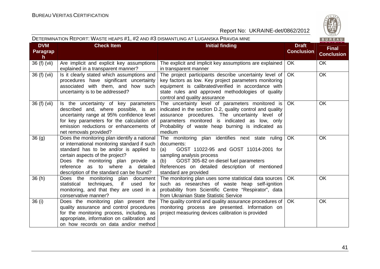



| <b>DVM</b>            | <b>Check Item</b>                                                                                                                                                                                                                                                                                    | <b>Initial finding</b>                                                                                                                                                                                                                                                           | <b>Draft</b>      |                                   |
|-----------------------|------------------------------------------------------------------------------------------------------------------------------------------------------------------------------------------------------------------------------------------------------------------------------------------------------|----------------------------------------------------------------------------------------------------------------------------------------------------------------------------------------------------------------------------------------------------------------------------------|-------------------|-----------------------------------|
| <b>Paragrap</b><br>h. |                                                                                                                                                                                                                                                                                                      |                                                                                                                                                                                                                                                                                  | <b>Conclusion</b> | <b>Final</b><br><b>Conclusion</b> |
| 36 (f) (vii)          | Are implicit and explicit key assumptions<br>explained in a transparent manner?                                                                                                                                                                                                                      | The explicit and implicit key assumptions are explained<br>in transparent manner                                                                                                                                                                                                 | OK                | OK                                |
| 36 (f) (vii)          | Is it clearly stated which assumptions and<br>procedures have significant uncertainty<br>associated with them, and how such<br>uncertainty is to be addressed?                                                                                                                                       | The project participants describe uncertainty level of<br>key factors as low. Key project parameters monitoring<br>equipment is calibrated/verified in accordance with<br>state rules and approved methodologies of quality<br>control and quality assurance                     | <b>OK</b>         | OK                                |
| 36 (f) (vii)          | Is the uncertainty of key parameters<br>described and, where possible, is an<br>uncertainty range at 95% confidence level<br>for key parameters for the calculation of<br>emission reductions or enhancements of<br>net removals provided?                                                           | The uncertainty level of parameters monitored is<br>indicated in the section D.2, quality control and quality<br>assurance procedures. The uncertainty level of<br>parameters monitored is indicated as low, only<br>Probability of waste heap burning is indicated as<br>medium | <b>OK</b>         | <b>OK</b>                         |
| 36(9)                 | Does the monitoring plan identify a national<br>or international monitoring standard if such<br>standard has to be and/or is applied to<br>certain aspects of the project?<br>Does the monitoring plan provide a<br>as to where a detailed<br>reference<br>description of the standard can be found? | The monitoring plan identifies next state ruling<br>documents:<br>GOST 11022-95 and GOST 11014-2001 for<br>(a)<br>sampling analysis process<br>GOST 305-82 on diesel fuel parameters<br>(b)<br>References on detailed description of mentioned<br>standard are provided          | OK                | OK                                |
| 36(h)                 | Does the monitoring plan document<br>techniques, if<br>statistical<br>used<br>for<br>monitoring, and that they are used in a<br>conservative manner?                                                                                                                                                 | The monitoring plan uses some statistical data sources<br>such as researches of waste heap self-ignition<br>probability from Scientific Centre "Respirator", data<br>from Ukrainian State Statistic Service                                                                      | <b>OK</b>         | <b>OK</b>                         |
| 36 (i)                | Does the monitoring plan present the<br>quality assurance and control procedures<br>for the monitoring process, including, as<br>appropriate, information on calibration and<br>on how records on data and/or method                                                                                 | The quality control and quality assurance procedures of<br>monitoring process are presented. Information on<br>project measuring devices calibration is provided                                                                                                                 | <b>OK</b>         | OK                                |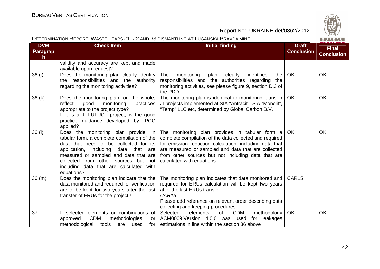| DETERMINATION REPORT: WASTE HEAPS #1, #2 AND #3 DISMANTLING AT LUGANSKA PRAVDA MINE<br>BUREAU |                                                                                                                                                                                                                                                                                                                    |                                                                                                                                                                                                                                                                                                                |                                   |                                   |  |
|-----------------------------------------------------------------------------------------------|--------------------------------------------------------------------------------------------------------------------------------------------------------------------------------------------------------------------------------------------------------------------------------------------------------------------|----------------------------------------------------------------------------------------------------------------------------------------------------------------------------------------------------------------------------------------------------------------------------------------------------------------|-----------------------------------|-----------------------------------|--|
| <b>DVM</b><br>Paragrap<br>h                                                                   | <b>Check Item</b>                                                                                                                                                                                                                                                                                                  | <b>Initial finding</b>                                                                                                                                                                                                                                                                                         | <b>Draft</b><br><b>Conclusion</b> | <b>Final</b><br><b>Conclusion</b> |  |
|                                                                                               | validity and accuracy are kept and made<br>available upon request?                                                                                                                                                                                                                                                 |                                                                                                                                                                                                                                                                                                                |                                   |                                   |  |
| 36(j)                                                                                         | Does the monitoring plan clearly identify<br>the responsibilities and the authority<br>regarding the monitoring activities?                                                                                                                                                                                        | identifies<br>The<br>monitoring<br>plan<br>clearly<br>the<br>responsibilities and the authorities regarding<br>the<br>monitoring activities, see please figure 9, section D.3 of<br>the PDD                                                                                                                    | OK                                | <b>OK</b>                         |  |
| 36(k)                                                                                         | Does the monitoring plan, on the whole,<br>reflect<br>monitoring<br>good<br>practices<br>appropriate to the project type?<br>If it is a JI LULUCF project, is the good<br>practice guidance developed by IPCC<br>applied?                                                                                          | The monitoring plan is identical to monitoring plans in<br>JI projects implemented at SIA "Antracit", SIA "Monolit",<br>"Temp" LLC etc, determined by Global Carbon B.V.                                                                                                                                       | OK                                | <b>OK</b>                         |  |
| 36 (I)                                                                                        | Does the monitoring plan provide, in<br>tabular form, a complete compilation of the<br>data that need to be collected for its<br>application, including<br>data that are<br>measured or sampled and data that are<br>collected from other sources but not<br>including data that are calculated with<br>equations? | The monitoring plan provides in tabular form a<br>complete compilation of the data collected and required<br>for emission reduction calculation, including data that<br>are measured or sampled and data that are collected<br>from other sources but not including data that are<br>calculated with equations | OK.                               | <b>OK</b>                         |  |
| 36(m)                                                                                         | Does the monitoring plan indicate that the<br>data monitored and required for verification<br>are to be kept for two years after the last<br>transfer of ERUs for the project?                                                                                                                                     | The monitoring plan indicates that data monitored and<br>required for ERUs calculation will be kept two years<br>after the last ERUs transfer<br>CAR <sub>15</sub><br>Please add reference on relevant order describing data<br>collecting and keeping procedures                                              | CAR <sub>15</sub>                 |                                   |  |
| 37                                                                                            | If selected elements or combinations of<br><b>CDM</b><br>methodologies<br>approved<br>or l<br>methodological<br>tools<br>are<br>used                                                                                                                                                                               | Selected<br>elements<br>of<br><b>CDM</b><br>methodology<br>ACM0009, Version 4.0.0 was used for leakages<br>for estimations in line within the section 36 above                                                                                                                                                 | <b>OK</b>                         | <b>OK</b>                         |  |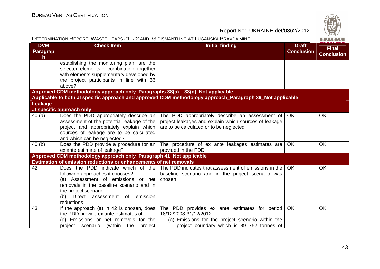| S            |
|--------------|
| W<br>۰.<br>= |
| 828          |

| Report No: UKRAINE-det/0862/2012    |                                                                                                                                                                                                                                     |                                                                                                                                                                                 |                                   |                                   |  |
|-------------------------------------|-------------------------------------------------------------------------------------------------------------------------------------------------------------------------------------------------------------------------------------|---------------------------------------------------------------------------------------------------------------------------------------------------------------------------------|-----------------------------------|-----------------------------------|--|
|                                     | DETERMINATION REPORT: WASTE HEAPS #1, #2 AND #3 DISMANTLING AT LUGANSKA PRAVDA MINE                                                                                                                                                 |                                                                                                                                                                                 |                                   | $\frac{720}{1828}$<br>BUREAU      |  |
| <b>DVM</b><br><b>Paragrap</b><br>h. | <b>Check Item</b>                                                                                                                                                                                                                   | <b>Initial finding</b>                                                                                                                                                          | <b>Draft</b><br><b>Conclusion</b> | <b>Final</b><br><b>Conclusion</b> |  |
|                                     | establishing the monitoring plan, are the<br>selected elements or combination, together<br>with elements supplementary developed by<br>the project participants in line with 36<br>above?                                           |                                                                                                                                                                                 |                                   |                                   |  |
|                                     | Approved CDM methodology approach only_Paragraphs 38(a) - 38(d)_Not applicable                                                                                                                                                      |                                                                                                                                                                                 |                                   |                                   |  |
| Leakage                             |                                                                                                                                                                                                                                     | Applicable to both JI specific approach and approved CDM methodology approach_Paragraph 39_Not applicable                                                                       |                                   |                                   |  |
|                                     | JI specific approach only                                                                                                                                                                                                           |                                                                                                                                                                                 |                                   |                                   |  |
| 40(a)                               | Does the PDD appropriately describe an<br>assessment of the potential leakage of the<br>project and appropriately explain which<br>sources of leakage are to be calculated<br>and which can be neglected?                           | The PDD appropriately describe an assessment of $\overline{\phantom{a}}$ OK<br>project leakages and explain which sources of leakage<br>are to be calculated or to be neglected |                                   | <b>OK</b>                         |  |
| 40(b)                               | Does the PDD provide a procedure for an<br>ex ante estimate of leakage?                                                                                                                                                             | The procedure of ex ante leakages estimates are<br>provided in the PDD                                                                                                          | OK                                | <b>OK</b>                         |  |
|                                     | Approved CDM methodology approach only_Paragraph 41_Not applicable                                                                                                                                                                  |                                                                                                                                                                                 |                                   |                                   |  |
|                                     | <b>Estimation of emission reductions or enhancements of net removals</b>                                                                                                                                                            |                                                                                                                                                                                 |                                   |                                   |  |
| 42                                  | Does the PDD indicate which of the<br>following approaches it chooses?<br>(a) Assessment of emissions or net<br>removals in the baseline scenario and in<br>the project scenario<br>(b) Direct assessment of emission<br>reductions | The PDD indicates that assessment of emissions in the<br>baseline scenario and in the project scenario was<br>chosen                                                            | OK                                | <b>OK</b>                         |  |
| 43                                  | If the approach (a) in 42 is chosen, does<br>the PDD provide ex ante estimates of:<br>(a) Emissions or net removals for the<br>project scenario<br>(within<br>the<br>project                                                        | The PDD provides ex ante estimates for period<br>18/12/2008-31/12/2012<br>(a) Emissions for the project scenario within the<br>project boundary which is 89 752 tonnes of       | <b>OK</b>                         | <b>OK</b>                         |  |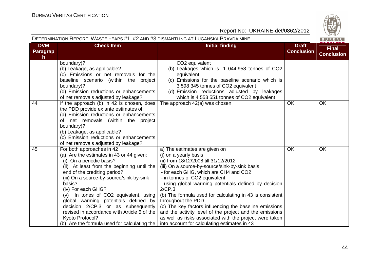| DETERMINATION REPORT: WASTE HEAPS #1, #2 AND #3 DISMANTLING AT LUGANSKA PRAVDA MINE |                                                                                                                                                                                                                                                                                                                                                                                                                                                                                                      |                                                                                                                                                                                                                                                                                                                                                                                                                                                                                                                                                                                                                 |                                   |                                   |  |
|-------------------------------------------------------------------------------------|------------------------------------------------------------------------------------------------------------------------------------------------------------------------------------------------------------------------------------------------------------------------------------------------------------------------------------------------------------------------------------------------------------------------------------------------------------------------------------------------------|-----------------------------------------------------------------------------------------------------------------------------------------------------------------------------------------------------------------------------------------------------------------------------------------------------------------------------------------------------------------------------------------------------------------------------------------------------------------------------------------------------------------------------------------------------------------------------------------------------------------|-----------------------------------|-----------------------------------|--|
| <b>DVM</b><br>Paragrap<br>h                                                         | <b>Check Item</b>                                                                                                                                                                                                                                                                                                                                                                                                                                                                                    | <b>Initial finding</b>                                                                                                                                                                                                                                                                                                                                                                                                                                                                                                                                                                                          | <b>Draft</b><br><b>Conclusion</b> | <b>Final</b><br><b>Conclusion</b> |  |
|                                                                                     | boundary)?<br>(b) Leakage, as applicable?<br>(c) Emissions or net removals for the<br>baseline scenario (within the project<br>boundary)?<br>(d) Emission reductions or enhancements<br>of net removals adjusted by leakage?                                                                                                                                                                                                                                                                         | CO2 equivalent<br>(b) Leakages which is -1 044 958 tonnes of CO2<br>equivalent<br>(c) Emissions for the baseline scenario which is<br>3 598 345 tonnes of CO2 equivalent<br>(d) Emission reductions adjusted by leakages<br>which is 4 553 551 tonnes of CO2 equivalent                                                                                                                                                                                                                                                                                                                                         |                                   |                                   |  |
| 44                                                                                  | If the approach (b) in 42 is chosen, does<br>the PDD provide ex ante estimates of:<br>(a) Emission reductions or enhancements<br>net removals (within the project<br>оf<br>boundary)?<br>(b) Leakage, as applicable?<br>(c) Emission reductions or enhancements<br>of net removals adjusted by leakage?                                                                                                                                                                                              | The approach 42(a) was chosen                                                                                                                                                                                                                                                                                                                                                                                                                                                                                                                                                                                   | <b>OK</b>                         | <b>OK</b>                         |  |
| 45                                                                                  | For both approaches in 42<br>(a) Are the estimates in 43 or 44 given:<br>(i) On a periodic basis?<br>(ii) At least from the beginning until the<br>end of the crediting period?<br>(iii) On a source-by-source/sink-by-sink<br>basis?<br>(iv) For each GHG?<br>(v) In tones of CO2 equivalent, using<br>global warming potentials defined by<br>decision 2/CP.3 or as subsequently<br>revised in accordance with Article 5 of the<br>Kyoto Protocol?<br>(b) Are the formula used for calculating the | a) The estimates are given on<br>(i) on a yearly basis<br>(ii) from 18/12/2008 till 31/12/2012<br>(iii) On a source-by-source/sink-by-sink basis<br>- for each GHG, which are CH4 and CO2<br>- in tonnes of CO2 equivalent<br>- using global warming potentials defined by decision<br>2/CP.3<br>(b) The formula used for calculating in 43 is consistent<br>throughout the PDD<br>(c) The key factors influencing the baseline emissions<br>and the activity level of the project and the emissions<br>as well as risks associated with the project were taken<br>into account for calculating estimates in 43 | OK                                | <b>OK</b>                         |  |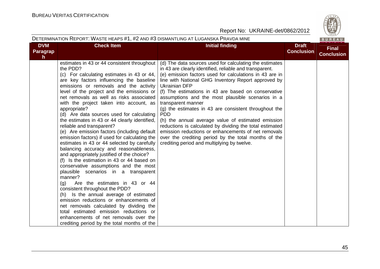|                                        | DETERMINATION REPORT: WASTE HEAPS #1, #2 AND #3 DISMANTLING AT LUGANSKA PRAVDA MINE                                                                                                                                                                                                                                                                                                                                                                                                                                                                                                                                                                                                                                                                                                                                                                                                                                                                                                                                                                                                                                                                                                                    |                                                                                                                                                                                                                                                                                                                                                                                                                                                                                                                                                                                                                                                                                                                                                       |                                   | BUREAU                            |
|----------------------------------------|--------------------------------------------------------------------------------------------------------------------------------------------------------------------------------------------------------------------------------------------------------------------------------------------------------------------------------------------------------------------------------------------------------------------------------------------------------------------------------------------------------------------------------------------------------------------------------------------------------------------------------------------------------------------------------------------------------------------------------------------------------------------------------------------------------------------------------------------------------------------------------------------------------------------------------------------------------------------------------------------------------------------------------------------------------------------------------------------------------------------------------------------------------------------------------------------------------|-------------------------------------------------------------------------------------------------------------------------------------------------------------------------------------------------------------------------------------------------------------------------------------------------------------------------------------------------------------------------------------------------------------------------------------------------------------------------------------------------------------------------------------------------------------------------------------------------------------------------------------------------------------------------------------------------------------------------------------------------------|-----------------------------------|-----------------------------------|
| <b>DVM</b><br>Paragrap<br>$\mathsf{h}$ | <b>Check Item</b>                                                                                                                                                                                                                                                                                                                                                                                                                                                                                                                                                                                                                                                                                                                                                                                                                                                                                                                                                                                                                                                                                                                                                                                      | <b>Initial finding</b>                                                                                                                                                                                                                                                                                                                                                                                                                                                                                                                                                                                                                                                                                                                                | <b>Draft</b><br><b>Conclusion</b> | <b>Final</b><br><b>Conclusion</b> |
|                                        | estimates in 43 or 44 consistent throughout<br>the PDD?<br>(c) For calculating estimates in 43 or 44,<br>are key factors influencing the baseline<br>emissions or removals and the activity<br>level of the project and the emissions or<br>net removals as well as risks associated<br>with the project taken into account, as<br>appropriate?<br>(d) Are data sources used for calculating<br>the estimates in 43 or 44 clearly identified,<br>reliable and transparent?<br>(e) Are emission factors (including default<br>emission factors) if used for calculating the<br>estimates in 43 or 44 selected by carefully<br>balancing accuracy and reasonableness,<br>and appropriately justified of the choice?<br>(f) Is the estimation in 43 or 44 based on<br>conservative assumptions and the most<br>plausible scenarios in a transparent<br>manner?<br>(q)<br>Are the estimates in 43 or 44<br>consistent throughout the PDD?<br>(h) Is the annual average of estimated<br>emission reductions or enhancements of<br>net removals calculated by dividing the<br>total estimated emission reductions or<br>enhancements of net removals over the<br>crediting period by the total months of the | (d) The data sources used for calculating the estimates<br>in 43 are clearly identified, reliable and transparent.<br>(e) emission factors used for calculations in 43 are in<br>line with National GHG Inventory Report approved by<br><b>Ukrainian DFP</b><br>(f) The estimations in 43 are based on conservative<br>assumptions and the most plausible scenarios in a<br>transparent manner<br>(g) the estimates in 43 are consistent throughout the<br><b>PDD</b><br>(h) the annual average value of estimated emission<br>reductions is calculated by dividing the total estimated<br>emission reductions or enhancements of net removals<br>over the crediting period by the total months of the<br>crediting period and multiplying by twelve. |                                   |                                   |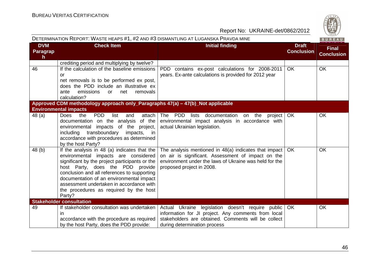| ί.            |
|---------------|
| $\omega$<br>۵ |
| 6.            |
| 828           |

| DETERMINATION REPORT: WASTE HEAPS #1, #2 AND #3 DISMANTLING AT LUGANSKA PRAVDA MINE<br>BUREAU |                                                                                                                                                                                                                                                                                                                                                                       |                                                                                                                                                                                                    |                                   |                                   |
|-----------------------------------------------------------------------------------------------|-----------------------------------------------------------------------------------------------------------------------------------------------------------------------------------------------------------------------------------------------------------------------------------------------------------------------------------------------------------------------|----------------------------------------------------------------------------------------------------------------------------------------------------------------------------------------------------|-----------------------------------|-----------------------------------|
| <b>DVM</b><br>Paragrap<br>$\mathsf{h}$                                                        | <b>Check Item</b>                                                                                                                                                                                                                                                                                                                                                     | <b>Initial finding</b>                                                                                                                                                                             | <b>Draft</b><br><b>Conclusion</b> | <b>Final</b><br><b>Conclusion</b> |
|                                                                                               | crediting period and multiplying by twelve?                                                                                                                                                                                                                                                                                                                           |                                                                                                                                                                                                    |                                   |                                   |
| 46                                                                                            | If the calculation of the baseline emissions<br><sub>or</sub><br>net removals is to be performed ex post,<br>does the PDD include an illustrative ex<br>emissions<br>net<br>removals<br>ante<br>or<br>calculation?                                                                                                                                                    | PDD contains ex-post calculations for 2008-2011<br>years. Ex-ante calculations is provided for 2012 year                                                                                           | <b>OK</b>                         | <b>OK</b>                         |
|                                                                                               | Approved CDM methodology approach only_Paragraphs 47(a) - 47(b)_Not applicable                                                                                                                                                                                                                                                                                        |                                                                                                                                                                                                    |                                   |                                   |
|                                                                                               | <b>Environmental impacts</b>                                                                                                                                                                                                                                                                                                                                          |                                                                                                                                                                                                    |                                   |                                   |
| 48 (a)                                                                                        | <b>PDD</b><br>list<br>Does<br>the<br>and<br>attach<br>documentation on the analysis<br>of the<br>environmental<br>impacts of the project,<br>including transboundary impacts, in<br>accordance with procedures as determined<br>by the host Party?                                                                                                                    | The PDD lists<br>documentation<br>on the project<br>environmental impact analysis in accordance with<br>actual Ukrainian legislation.                                                              | <b>OK</b>                         | <b>OK</b>                         |
| 48 (b)                                                                                        | If the analysis in 48 (a) indicates that the<br>environmental impacts are considered<br>significant by the project participants or the<br>host Party, does the PDD provide<br>conclusion and all references to supporting<br>documentation of an environmental impact<br>assessment undertaken in accordance with<br>the procedures as required by the host<br>Party? | The analysis mentioned in 48(a) indicates that impact<br>on air is significant. Assessment of impact on the<br>environment under the laws of Ukraine was held for the<br>proposed project in 2008. | OK.                               | OK                                |
|                                                                                               | <b>Stakeholder consultation</b>                                                                                                                                                                                                                                                                                                                                       |                                                                                                                                                                                                    |                                   |                                   |
| 49                                                                                            | If stakeholder consultation was undertaken<br>ın<br>accordance with the procedure as required<br>by the host Party, does the PDD provide:                                                                                                                                                                                                                             | Actual Ukraine legislation doesn't require public<br>information for JI project. Any comments from local<br>stakeholders are obtained. Comments will be collect<br>during determination process    | <b>OK</b>                         | OK                                |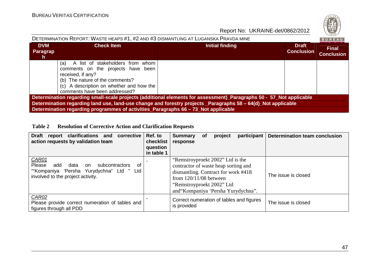| S<br>Q,<br>۰, |  |
|---------------|--|
| 828           |  |
|               |  |

| DETERMINATION REPORT: WASTE HEAPS #1, #2 AND #3 DISMANTLING AT LUGANSKA PRAVDA MINE<br>BUREAU                       |                                                                                                                                                                                                                    |                 |                                   |                                   |  |  |
|---------------------------------------------------------------------------------------------------------------------|--------------------------------------------------------------------------------------------------------------------------------------------------------------------------------------------------------------------|-----------------|-----------------------------------|-----------------------------------|--|--|
| <b>DVM</b><br><b>Paragrap</b><br><sub>n</sub>                                                                       | <b>Check Item</b>                                                                                                                                                                                                  | Initial finding | <b>Draft</b><br><b>Conclusion</b> | <b>Final</b><br><b>Conclusion</b> |  |  |
|                                                                                                                     | A list of stakeholders from whom<br>(a)<br>comments on the projects have been<br>received, if any?<br>(b) The nature of the comments?<br>(c) A description on whether and how the<br>comments have been addressed? |                 |                                   |                                   |  |  |
| Determination regarding small-scale projects (additional elements for assessment)_Paragraphs 50 - 57_Not applicable |                                                                                                                                                                                                                    |                 |                                   |                                   |  |  |
| Determination regarding land use, land-use change and forestry projects _Paragraphs 58 - 64(d)_Not applicable       |                                                                                                                                                                                                                    |                 |                                   |                                   |  |  |
|                                                                                                                     | Determination regarding programmes of activities_Paragraphs 66 - 73 Not applicable                                                                                                                                 |                 |                                   |                                   |  |  |

## **Table 2 Resolution of Corrective Action and Clarification Requests**

| report clarifications and<br><b>Draft</b><br>corrective<br>action requests by validation team                                                     | Ref. to<br>checklist<br>question<br>in table 1 | participant<br><b>Determination team conclusion</b><br><b>Summary</b><br>project<br><b>of</b><br>response                                                                                                                             |
|---------------------------------------------------------------------------------------------------------------------------------------------------|------------------------------------------------|---------------------------------------------------------------------------------------------------------------------------------------------------------------------------------------------------------------------------------------|
| CAR01<br>Please<br>add<br>subcontractors<br>data<br>of<br>on<br>""Kompaniya 'Persha Yurydychna" Ltd "<br>Ltd<br>involved to the project activity. |                                                | "Remstroyproekt 2002" Ltd is the<br>contractor of waste heap sorting and<br>dismantling. Contract for work #418<br>The issue is closed<br>from $120/11/08$ between<br>"Remstroyproekt 2002" Ltd<br>and"Kompaniya 'Persha Yurydychna". |
| CAR02<br>Please provide correct numeration of tables and<br>figures through all PDD                                                               |                                                | Correct numeration of tables and figures<br>The issue is closed<br>is provided                                                                                                                                                        |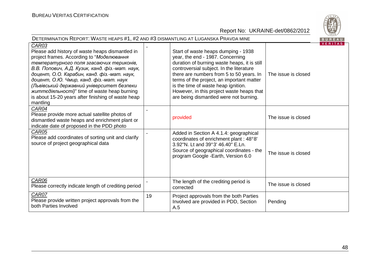

| DETERMINATION REPORT: WASTE HEAPS #1, #2 AND #3 DISMANTLING AT LUGANSKA PRAVDA MINE<br>BUREAU                                                                                                                                                                                                                                                                                                                                                                         |    |                                                                                                                                                                                                                                                                                                                                                                                            |                     |                |
|-----------------------------------------------------------------------------------------------------------------------------------------------------------------------------------------------------------------------------------------------------------------------------------------------------------------------------------------------------------------------------------------------------------------------------------------------------------------------|----|--------------------------------------------------------------------------------------------------------------------------------------------------------------------------------------------------------------------------------------------------------------------------------------------------------------------------------------------------------------------------------------------|---------------------|----------------|
| CAR03<br>Please add history of waste heaps dismantled in<br>project frames. According to "Моделювання<br>температурного поля згасаючих териконів,<br>В.В. Попович, А.Д. Кузик, канд. фіз.-мат. наук,<br>доцент, О.О. Карабин, канд. фіз.-мат. наук,<br>доцент, О.Ю. Чмир, канд. фіз.-мат. наук<br>(Львівський державний університет безпеки<br><i>життедіяльності)</i> " time of waste heap burning<br>is about 15-20 years after finishing of waste heap<br>mantling |    | Start of waste heaps dumping - 1938<br>year, the end - 1987. Concerning<br>duration of burning waste heaps, it is still<br>controversial subject. In the literature<br>there are numbers from 5 to 50 years. In<br>terms of the project, an important matter<br>is the time of waste heap ignition.<br>However, in this project waste heaps that<br>are being dismantled were not burning. | The issue is closed | <b>VERITAS</b> |
| CAR04<br>Please provide more actual satellite photos of<br>dismantled waste heaps and enrichment plant or<br>indicate date of proposed in the PDD photo                                                                                                                                                                                                                                                                                                               |    | provided                                                                                                                                                                                                                                                                                                                                                                                   | The issue is closed |                |
| CAR05<br>Please add coordinates of sorting unit and clarify<br>source of project geographical data                                                                                                                                                                                                                                                                                                                                                                    |    | Added in Section A 4.1.4: geographical<br>coordinates of enrichment plant : 48°8'<br>3.92"N. Lt and 39°3' 46.40" E.Ln.<br>Source of geographical coordinates - the<br>program Google -Earth, Version 6.0                                                                                                                                                                                   | The issue is closed |                |
| CAR06<br>Please correctly indicate length of crediting period                                                                                                                                                                                                                                                                                                                                                                                                         |    | The length of the crediting period is<br>corrected                                                                                                                                                                                                                                                                                                                                         | The issue is closed |                |
| CAR07<br>Please provide written project approvals from the<br>both Parties Involved                                                                                                                                                                                                                                                                                                                                                                                   | 19 | Project approvals from the both Parties<br>Involved are provided in PDD, Section<br>A.5                                                                                                                                                                                                                                                                                                    | Pending             |                |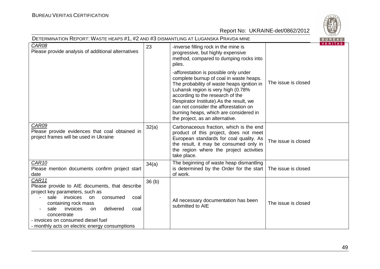| DETERMINATION REPORT: WASTE HEAPS #1, #2 AND #3 DISMANTLING AT LUGANSKA PRAVDA MINE                                                                                                                                                                                                                                    |                   |                                                                                                                                                                                                                                                                                                                                                                           |                     |                |
|------------------------------------------------------------------------------------------------------------------------------------------------------------------------------------------------------------------------------------------------------------------------------------------------------------------------|-------------------|---------------------------------------------------------------------------------------------------------------------------------------------------------------------------------------------------------------------------------------------------------------------------------------------------------------------------------------------------------------------------|---------------------|----------------|
| CAR08<br>Please provide analysis of additional alternatives                                                                                                                                                                                                                                                            | 23                | -inverse filling rock in the mine is<br>progressive, but highly expensive<br>method, compared to dumping rocks into<br>piles.                                                                                                                                                                                                                                             |                     | <b>VERITAS</b> |
|                                                                                                                                                                                                                                                                                                                        |                   | -afforestation is possible only under<br>complete burnup of coal in waste heaps.<br>The probability of waste heaps ignition in<br>Luhansk region is very high (0.78%<br>according to the research of the<br>Respirator Institute).As the result, we<br>can not consider the afforestation on<br>burning heaps, which are considered in<br>the project, as an alternative. | The issue is closed |                |
| CAR09<br>Please provide evidences that coal obtained in<br>project frames will be used in Ukraine                                                                                                                                                                                                                      | 32(a)             | Carbonaceous fraction, which is the end<br>product of this project, does not meet<br>European standards for coal quality. As<br>the result, it may be consumed only in<br>the region where the project activities<br>take place.                                                                                                                                          | The issue is closed |                |
| CAR <sub>10</sub><br>Please mention documents confirm project start<br>date                                                                                                                                                                                                                                            | 34(a)             | The beginning of waste heap dismantling<br>is determined by the Order for the start<br>of work.                                                                                                                                                                                                                                                                           | The issue is closed |                |
| CAR11<br>Please provide to AIE documents, that describe<br>project key parameters, such as<br>sale<br>invoices<br>on<br>consumed<br>coal<br>containing rock mass<br>delivered<br>invoices<br>sale<br>coal<br>on<br>concentrate<br>- invoices on consumed diesel fuel<br>- monthly acts on electric energy consumptions | 36 <sub>(b)</sub> | All necessary documentation has been<br>submitted to AIE                                                                                                                                                                                                                                                                                                                  | The issue is closed |                |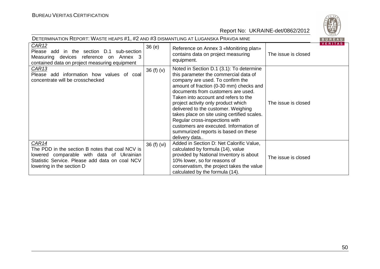

| DETERMINATION REPORT: WASTE HEAPS #1, #2 AND #3 DISMANTLING AT LUGANSKA PRAVDA MINE                                                                                                         |             |                                                                                                                                                                                                                                                                                                                                                                                                                                                                                                                  |                     | BUREAU  |
|---------------------------------------------------------------------------------------------------------------------------------------------------------------------------------------------|-------------|------------------------------------------------------------------------------------------------------------------------------------------------------------------------------------------------------------------------------------------------------------------------------------------------------------------------------------------------------------------------------------------------------------------------------------------------------------------------------------------------------------------|---------------------|---------|
| CAR <sub>12</sub><br>Please add in the section D.1 sub-section<br>Measuring devices reference on Annex 3<br>contained data on project measuring equipment                                   | 36(e)       | Reference on Annex 3 «Monitiring plan»<br>contains data on project measuring<br>equipment.                                                                                                                                                                                                                                                                                                                                                                                                                       | The issue is closed | VERITAS |
| <u>CAR13</u><br>Please add information how values of coal<br>concentrate will be crosschecked                                                                                               | 36 $(f)(v)$ | Noted in Section D.1 (3.1): To determine<br>this parameter the commercial data of<br>company are used. To confirm the<br>amount of fraction (0-30 mm) checks and<br>documents from customers are used.<br>Taken into account and refers to the<br>project activity only product which<br>delivered to the customer. Weighing<br>takes place on site using certified scales.<br>Regular cross-inspections with<br>customers are executed. Information of<br>summurized reports is based on these<br>delivery data | The issue is closed |         |
| <b>CAR14</b><br>The PDD in the section B notes that coal NCV is<br>lowered comparable with data of Ukrainian<br>Statistic Service. Please add data on coal NCV<br>lowering in the section D | 36 (f) (vi) | Added in Section D: Net Calorific Value,<br>calculated by formula (14), value<br>provided by National Inventory is about<br>10% lower, so for reasons of<br>conservatism, the project takes the value<br>calculated by the formula (14).                                                                                                                                                                                                                                                                         | The issue is closed |         |